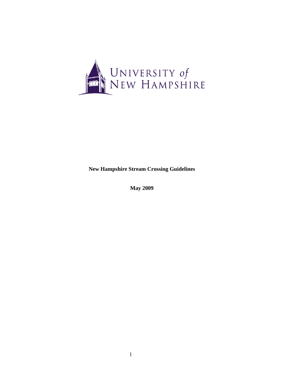

**New Hampshire Stream Crossing Guidelines** 

**May 2009**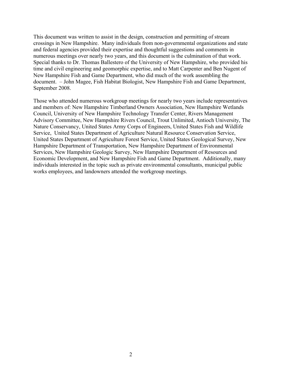This document was written to assist in the design, construction and permitting of stream crossings in New Hampshire. Many individuals from non-governmental organizations and state and federal agencies provided their expertise and thoughtful suggestions and comments in numerous meetings over nearly two years, and this document is the culmination of that work. Special thanks to Dr. Thomas Ballestero of the University of New Hampshire, who provided his time and civil engineering and geomorphic expertise, and to Matt Carpenter and Ben Nugent of New Hampshire Fish and Game Department, who did much of the work assembling the document. – John Magee, Fish Habitat Biologist, New Hampshire Fish and Game Department, September 2008.

Those who attended numerous workgroup meetings for nearly two years include representatives and members of: New Hampshire Timberland Owners Association, New Hampshire Wetlands Council, University of New Hampshire Technology Transfer Center, Rivers Management Advisory Committee, New Hampshire Rivers Council, Trout Unlimited, Antioch University, The Nature Conservancy, United States Army Corps of Engineers, United States Fish and Wildlife Service, United States Department of Agriculture Natural Resource Conservation Service, United States Department of Agriculture Forest Service, United States Geological Survey, New Hampshire Department of Transportation, New Hampshire Department of Environmental Services, New Hampshire Geologic Survey, New Hampshire Department of Resources and Economic Development, and New Hampshire Fish and Game Department. Additionally, many individuals interested in the topic such as private environmental consultants, municipal public works employees, and landowners attended the workgroup meetings.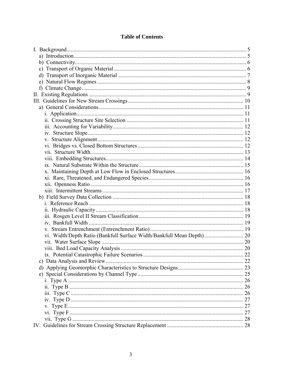| vi. Width/Depth Ratio (Bankfull Surface Width/Bankfull Mean Depth) 20 |  |
|-----------------------------------------------------------------------|--|
|                                                                       |  |
|                                                                       |  |
|                                                                       |  |
|                                                                       |  |
|                                                                       |  |
|                                                                       |  |
|                                                                       |  |
|                                                                       |  |
|                                                                       |  |
|                                                                       |  |
|                                                                       |  |
|                                                                       |  |
|                                                                       |  |
|                                                                       |  |

# **Table of Contents**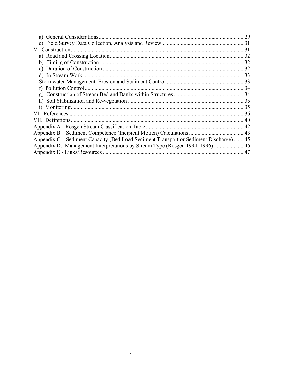|                                                                                        | 29 |
|----------------------------------------------------------------------------------------|----|
|                                                                                        |    |
|                                                                                        |    |
|                                                                                        |    |
|                                                                                        |    |
|                                                                                        |    |
|                                                                                        |    |
|                                                                                        |    |
|                                                                                        |    |
|                                                                                        |    |
|                                                                                        |    |
|                                                                                        |    |
|                                                                                        |    |
|                                                                                        |    |
|                                                                                        |    |
|                                                                                        |    |
| Appendix C – Sediment Capacity (Bed Load Sediment Transport or Sediment Discharge)  45 |    |
| Appendix D. Management Interpretations by Stream Type (Rosgen 1994, 1996)  46          |    |
|                                                                                        |    |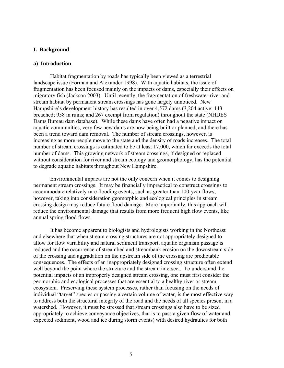## <span id="page-4-0"></span>**I. Background**

### **a) Introduction**

Habitat fragmentation by roads has typically been viewed as a terrestrial landscape issue (Forman and Alexander 1998). With aquatic habitats, the issue of fragmentation has been focused mainly on the impacts of dams, especially their effects on migratory fish (Jackson 2003). Until recently, the fragmentation of freshwater river and stream habitat by permanent stream crossings has gone largely unnoticed. New Hampshire's development history has resulted in over 4,572 dams (3,204 active; 143 breached; 958 in ruins; and 267 exempt from regulation) throughout the state (NHDES Dams Bureau dam database). While these dams have often had a negative impact on aquatic communities, very few new dams are now being built or planned, and there has been a trend toward dam removal. The number of stream crossings, however, is increasing as more people move to the state and the density of roads increases. The total number of stream crossings is estimated to be at least 17,000, which far exceeds the total number of dams. This growing network of stream crossings, if designed or replaced without consideration for river and stream ecology and geomorphology, has the potential to degrade aquatic habitats throughout New Hampshire.

Environmental impacts are not the only concern when it comes to designing permanent stream crossings. It may be financially impractical to construct crossings to accommodate relatively rare flooding events, such as greater than 100-year flows; however, taking into consideration geomorphic and ecological principles in stream crossing design may reduce future flood damage. More importantly, this approach will reduce the environmental damage that results from more frequent high flow events, like annual spring flood flows.

 It has become apparent to biologists and hydrologists working in the Northeast and elsewhere that when stream crossing structures are not appropriately designed to allow for flow variability and natural sediment transport, aquatic organism passage is reduced and the occurrence of streambed and streambank erosion on the downstream side of the crossing and aggradation on the upstream side of the crossing are predictable consequences. The effects of an inappropriately designed crossing structure often extend well beyond the point where the structure and the stream intersect. To understand the potential impacts of an improperly designed stream crossing, one must first consider the geomorphic and ecological processes that are essential to a healthy river or stream ecosystem. Preserving these system processes, rather than focusing on the needs of individual "target" species or passing a certain volume of water, is the most effective way to address both the structural integrity of the road and the needs of all species present in a watershed. However, it must be stressed that stream crossings also have to be sized appropriately to achieve conveyance objectives, that is to pass a given flow of water and expected sediment, wood and ice during storm events) with desired hydraulics for both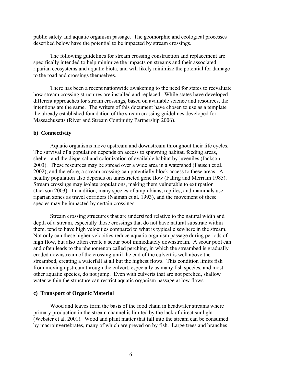<span id="page-5-0"></span>public safety and aquatic organism passage. The geomorphic and ecological processes described below have the potential to be impacted by stream crossings.

The following guidelines for stream crossing construction and replacement are specifically intended to help minimize the impacts on streams and their associated riparian ecosystems and aquatic biota, and will likely minimize the potential for damage to the road and crossings themselves.

There has been a recent nationwide awakening to the need for states to reevaluate how stream crossing structures are installed and replaced. While states have developed different approaches for stream crossings, based on available science and resources, the intentions are the same. The writers of this document have chosen to use as a template the already established foundation of the stream crossing guidelines developed for Massachusetts (River and Stream Continuity Partnership 2006).

#### **b) Connectivity**

Aquatic organisms move upstream and downstream throughout their life cycles. The survival of a population depends on access to spawning habitat, feeding areas, shelter, and the dispersal and colonization of available habitat by juveniles (Jackson 2003). These resources may be spread over a wide area in a watershed (Fausch et al. 2002), and therefore, a stream crossing can potentially block access to these areas. A healthy population also depends on unrestricted gene flow (Fahrig and Merriam 1985). Stream crossings may isolate populations, making them vulnerable to extirpation (Jackson 2003). In addition, many species of amphibians, reptiles, and mammals use riparian zones as travel corridors (Naiman et al. 1993), and the movement of these species may be impacted by certain crossings.

Stream crossing structures that are undersized relative to the natural width and depth of a stream, especially those crossings that do not have natural substrate within them, tend to have high velocities compared to what is typical elsewhere in the stream. Not only can these higher velocities reduce aquatic organism passage during periods of high flow, but also often create a scour pool immediately downstream. A scour pool can and often leads to the phenomenon called perching, in which the streambed is gradually eroded downstream of the crossing until the end of the culvert is well above the streambed, creating a waterfall at all but the highest flows. This condition limits fish from moving upstream through the culvert, especially as many fish species, and most other aquatic species, do not jump. Even with culverts that are not perched, shallow water within the structure can restrict aquatic organism passage at low flows.

#### **c) Transport of Organic Material**

Wood and leaves form the basis of the food chain in headwater streams where primary production in the stream channel is limited by the lack of direct sunlight (Webster et al. 2001). Wood and plant matter that fall into the stream can be consumed by macroinvertebrates, many of which are preyed on by fish. Large trees and branches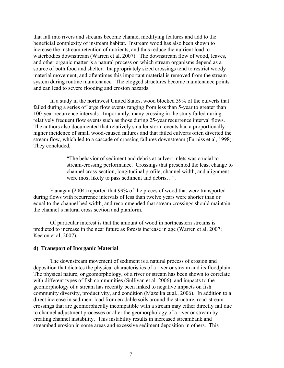<span id="page-6-0"></span>that fall into rivers and streams become channel modifying features and add to the beneficial complexity of instream habitat. Instream wood has also been shown to increase the instream retention of nutrients, and thus reduce the nutrient load to waterbodies downstream (Warren et al, 2007). The downstream flow of wood, leaves, and other organic matter is a natural process on which stream organisms depend as a source of both food and shelter. Inappropriately sized crossings tend to restrict woody material movement, and oftentimes this important material is removed from the stream system during routine maintenance. The clogged structures become maintenance points and can lead to severe flooding and erosion hazards.

In a study in the northwest United States, wood blocked 39% of the culverts that failed during a series of large flow events ranging from less than 5-year to greater than 100-year recurrence intervals. Importantly, many crossing in the study failed during relatively frequent flow events such as those during 25-year recurrence interval flows. The authors also documented that relatively smaller storm events had a proportionally higher incidence of small wood-caused failures and that failed culverts often diverted the stream flow, which led to a cascade of crossing failures downstream (Furniss et al, 1998). They concluded,

> "The behavior of sediment and debris at culvert inlets was crucial to stream-crossing performance. Crossings that presented the least change to channel cross-section, longitudinal profile, channel width, and alignment were most likely to pass sediment and debris…".

Flanagan (2004) reported that 99% of the pieces of wood that were transported during flows with recurrence intervals of less than twelve years were shorter than or equal to the channel bed width, and recommended that stream crossings should maintain the channel's natural cross section and planform.

Of particular interest is that the amount of wood in northeastern streams is predicted to increase in the near future as forests increase in age (Warren et al, 2007; Keeton et al, 2007).

#### **d) Transport of Inorganic Material**

The downstream movement of sediment is a natural process of erosion and deposition that dictates the physical characteristics of a river or stream and its floodplain. The physical nature, or geomorphology, of a river or stream has been shown to correlate with different types of fish communities (Sullivan et al. 2006), and impacts to the geomorphology of a stream has recently been linked to negative impacts on fish community diversity, productivity, and condition (Mazeika et al., 2006). In addition to a direct increase in sediment load from erodable soils around the structure, road-stream crossings that are geomorphically incompatible with a stream may either directly fail due to channel adjustment processes or alter the geomorphology of a river or stream by creating channel instability. This instability results in increased streambank and streambed erosion in some areas and excessive sediment deposition in others. This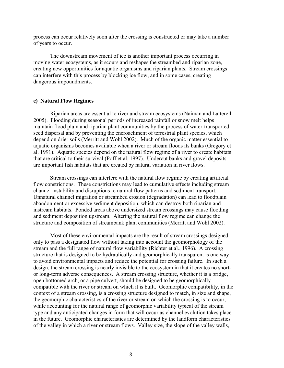<span id="page-7-0"></span>process can occur relatively soon after the crossing is constructed or may take a number of years to occur.

The downstream movement of ice is another important process occurring in moving water ecosystems, as it scours and reshapes the streambed and riparian zone, creating new opportunities for aquatic organisms and riparian plants. Stream crossings can interfere with this process by blocking ice flow, and in some cases, creating dangerous impoundments.

### **e) Natural Flow Regimes**

Riparian areas are essential to river and stream ecosystems (Naiman and Latterell 2005). Flooding during seasonal periods of increased rainfall or snow melt helps maintain flood plain and riparian plant communities by the process of water-transported seed dispersal and by preventing the encroachment of terrestrial plant species, which depend on drier soils (Merritt and Wohl 2002). Much of the organic matter essential to aquatic organisms becomes available when a river or stream floods its banks (Gregory et al. 1991). Aquatic species depend on the natural flow regime of a river to create habitats that are critical to their survival (Poff et al. 1997). Undercut banks and gravel deposits are important fish habitats that are created by natural variation in river flows.

Stream crossings can interfere with the natural flow regime by creating artificial flow constrictions. These constrictions may lead to cumulative effects including stream channel instability and disruptions to natural flow patterns and sediment transport. Unnatural channel migration or streambed erosion (degradation) can lead to floodplain abandonment or excessive sediment deposition, which can destroy both riparian and instream habitats. Ponded areas above undersized stream crossings may cause flooding and sediment deposition upstream. Altering the natural flow regime can change the structure and composition of streambank plant communities (Merritt and Wohl 2002).

Most of these environmental impacts are the result of stream crossings designed only to pass a designated flow without taking into account the geomorphology of the stream and the full range of natural flow variability (Richter et al., 1996). A crossing structure that is designed to be hydraulically and geomorphically transparent is one way to avoid environmental impacts and reduce the potential for crossing failure. In such a design, the stream crossing is nearly invisible to the ecosystem in that it creates no shortor long-term adverse consequences. A stream crossing structure, whether it is a bridge, open bottomed arch, or a pipe culvert, should be designed to be geomorphically compatible with the river or stream on which it is built. Geomorphic compatibility, in the context of a stream crossing, is a crossing structure designed to match, in size and shape, the geomorphic characteristics of the river or stream on which the crossing is to occur, while accounting for the natural range of geomorphic variability typical of the stream type and any anticipated changes in form that will occur as channel evolution takes place in the future. Geomorphic characteristics are determined by the landform characteristics of the valley in which a river or stream flows. Valley size, the slope of the valley walls,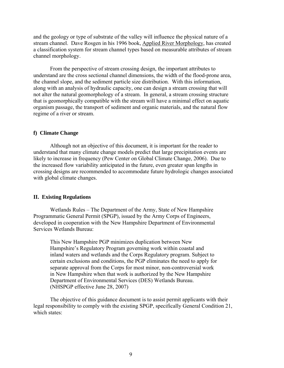<span id="page-8-0"></span>and the geology or type of substrate of the valley will influence the physical nature of a stream channel. Dave Rosgen in his 1996 book, Applied River Morphology, has created a classification system for stream channel types based on measurable attributes of stream channel morphology.

From the perspective of stream crossing design, the important attributes to understand are the cross sectional channel dimensions, the width of the flood-prone area, the channel slope, and the sediment particle size distribution. With this information, along with an analysis of hydraulic capacity, one can design a stream crossing that will not alter the natural geomorphology of a stream. In general, a stream crossing structure that is geomorphically compatible with the stream will have a minimal effect on aquatic organism passage, the transport of sediment and organic materials, and the natural flow regime of a river or stream.

# **f) Climate Change**

Although not an objective of this document, it is important for the reader to understand that many climate change models predict that large precipitation events are likely to increase in frequency (Pew Center on Global Climate Change, 2006). Due to the increased flow variability anticipated in the future, even greater span lengths in crossing designs are recommended to accommodate future hydrologic changes associated with global climate changes.

#### **II. Existing Regulations**

 Wetlands Rules – The Department of the Army, State of New Hampshire Programmatic General Permit (SPGP), issued by the Army Corps of Engineers, developed in cooperation with the New Hampshire Department of Environmental Services Wetlands Bureau:

This New Hampshire PGP minimizes duplication between New Hampshire's Regulatory Program governing work within coastal and inland waters and wetlands and the Corps Regulatory program. Subject to certain exclusions and conditions, the PGP eliminates the need to apply for separate approval from the Corps for most minor, non-controversial work in New Hampshire when that work is authorized by the New Hampshire Department of Environmental Services (DES) Wetlands Bureau. (NHSPGP effective June 28, 2007)

 The objective of this guidance document is to assist permit applicants with their legal responsibility to comply with the existing SPGP, specifically General Condition 21, which states: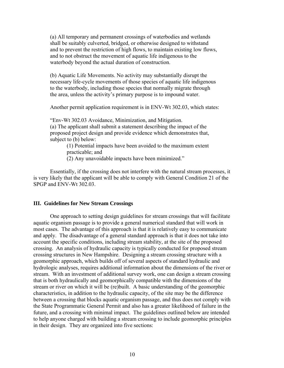<span id="page-9-0"></span>(a) All temporary and permanent crossings of waterbodies and wetlands shall be suitably culverted, bridged, or otherwise designed to withstand and to prevent the restriction of high flows, to maintain existing low flows, and to not obstruct the movement of aquatic life indigenous to the waterbody beyond the actual duration of construction.

(b) Aquatic Life Movements. No activity may substantially disrupt the necessary life-cycle movements of those species of aquatic life indigenous to the waterbody, including those species that normally migrate through the area, unless the activity's primary purpose is to impound water.

Another permit application requirement is in ENV-Wt 302.03, which states:

"Env-Wt 302.03 Avoidance, Minimization, and Mitigation. (a) The applicant shall submit a statement describing the impact of the proposed project design and provide evidence which demonstrates that, subject to (b) below:

(1) Potential impacts have been avoided to the maximum extent practicable; and

(2) Any unavoidable impacts have been minimized."

 Essentially, if the crossing does not interfere with the natural stream processes, it is very likely that the applicant will be able to comply with General Condition 21 of the SPGP and ENV-Wt 302.03.

## **III. Guidelines for New Stream Crossings**

One approach to setting design guidelines for stream crossings that will facilitate aquatic organism passage is to provide a general numerical standard that will work in most cases. The advantage of this approach is that it is relatively easy to communicate and apply. The disadvantage of a general standard approach is that it does not take into account the specific conditions, including stream stability, at the site of the proposed crossing. An analysis of hydraulic capacity is typically conducted for proposed stream crossing structures in New Hampshire. Designing a stream crossing structure with a geomorphic approach, which builds off of several aspects of standard hydraulic and hydrologic analyses, requires additional information about the dimensions of the river or stream. With an investment of additional survey work, one can design a stream crossing that is both hydraulically and geomorphically compatible with the dimensions of the stream or river on which it will be (re)built. A basic understanding of the geomorphic characteristics, in addition to the hydraulic capacity, of the site may be the difference between a crossing that blocks aquatic organism passage, and thus does not comply with the State Programmatic General Permit and also has a greater likelihood of failure in the future, and a crossing with minimal impact. The guidelines outlined below are intended to help anyone charged with building a stream crossing to include geomorphic principles in their design. They are organized into five sections: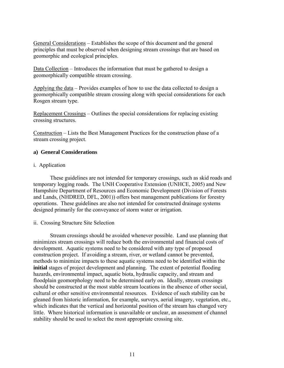<span id="page-10-0"></span>General Considerations – Establishes the scope of this document and the general principles that must be observed when designing stream crossings that are based on geomorphic and ecological principles.

Data Collection – Introduces the information that must be gathered to design a geomorphically compatible stream crossing.

Applying the data – Provides examples of how to use the data collected to design a geomorphically compatible stream crossing along with special considerations for each Rosgen stream type.

Replacement Crossings – Outlines the special considerations for replacing existing crossing structures.

Construction – Lists the Best Management Practices for the construction phase of a stream crossing project.

# **a) General Considerations**

## i. Application

These guidelines are not intended for temporary crossings, such as skid roads and temporary logging roads. The UNH Cooperative Extension (UNHCE, 2005) and New Hampshire Department of Resources and Economic Development (Division of Forests and Lands, (NHDRED, DFL, 2001)) offers best management publications for forestry operations. These guidelines are also not intended for constructed drainage systems designed primarily for the conveyance of storm water or irrigation.

## ii. Crossing Structure Site Selection

Stream crossings should be avoided whenever possible. Land use planning that minimizes stream crossings will reduce both the environmental and financial costs of development. Aquatic systems need to be considered with any type of proposed construction project. If avoiding a stream, river, or wetland cannot be prevented, methods to minimize impacts to these aquatic systems need to be identified within the **initial** stages of project development and planning. The extent of potential flooding hazards, environmental impact, aquatic biota, hydraulic capacity, and stream and floodplain geomorphology need to be determined early on. Ideally, stream crossings should be constructed at the most stable stream locations in the absence of other social, cultural or other sensitive environmental resources. Evidence of such stability can be gleaned from historic information, for example, surveys, aerial imagery, vegetation, etc., which indicates that the vertical and horizontal position of the stream has changed very little. Where historical information is unavailable or unclear, an assessment of channel stability should be used to select the most appropriate crossing site.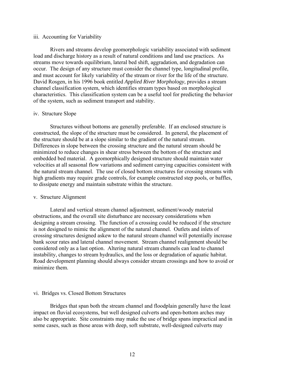## <span id="page-11-0"></span>iii. Accounting for Variability

Rivers and streams develop geomorphologic variability associated with sediment load and discharge history as a result of natural conditions and land use practices. As streams move towards equilibrium, lateral bed shift, aggradation, and degradation can occur. The design of any structure must consider the channel type, longitudinal profile, and must account for likely variability of the stream or river for the life of the structure. David Rosgen, in his 1996 book entitled *Applied River Morphology*, provides a stream channel classification system, which identifies stream types based on morphological characteristics. This classification system can be a useful tool for predicting the behavior of the system, such as sediment transport and stability.

#### iv. Structure Slope

Structures without bottoms are generally preferable. If an enclosed structure is constructed, the slope of the structure must be considered. In general, the placement of the structure should be at a slope similar to the gradient of the natural stream. Differences in slope between the crossing structure and the natural stream should be minimized to reduce changes in shear stress between the bottom of the structure and embedded bed material. A geomorphically designed structure should maintain water velocities at all seasonal flow variations and sediment carrying capacities consistent with the natural stream channel. The use of closed bottom structures for crossing streams with high gradients may require grade controls, for example constructed step pools, or baffles, to dissipate energy and maintain substrate within the structure.

#### v. Structure Alignment

Lateral and vertical stream channel adjustment, sediment/woody material obstructions, and the overall site disturbance are necessary considerations when designing a stream crossing. The function of a crossing could be reduced if the structure is not designed to mimic the alignment of the natural channel. Outlets and inlets of crossing structures designed askew to the natural stream channel will potentially increase bank scour rates and lateral channel movement. Stream channel realignment should be considered only as a last option. Altering natural stream channels can lead to channel instability, changes to stream hydraulics, and the loss or degradation of aquatic habitat. Road development planning should always consider stream crossings and how to avoid or minimize them.

## vi. Bridges vs. Closed Bottom Structures

Bridges that span both the stream channel and floodplain generally have the least impact on fluvial ecosystems, but well designed culverts and open-bottom arches may also be appropriate. Site constraints may make the use of bridge spans impractical and in some cases, such as those areas with deep, soft substrate, well-designed culverts may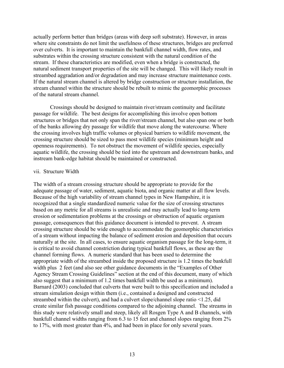<span id="page-12-0"></span>actually perform better than bridges (areas with deep soft substrate). However, in areas where site constraints do not limit the usefulness of these structures, bridges are preferred over culverts. It is important to maintain the bankfull channel width, flow rates, and substrates within the crossing structure consistent with the natural condition of the stream. If these characteristics are modified, even when a bridge is constructed, the natural sediment transport properties of the site will be changed. This will likely result in streambed aggradation and/or degradation and may increase structure maintenance costs. If the natural stream channel is altered by bridge construction or structure installation, the stream channel within the structure should be rebuilt to mimic the geomorphic processes of the natural stream channel.

Crossings should be designed to maintain river/stream continuity and facilitate passage for wildlife. The best designs for accomplishing this involve open bottom structures or bridges that not only span the river/stream channel, but also span one or both of the banks allowing dry passage for wildlife that move along the watercourse. Where the crossing involves high traffic volumes or physical barriers to wildlife movement, the crossing structure should be sized to pass most wildlife species (minimum height and openness requirements). To not obstruct the movement of wildlife species, especially aquatic wildlife, the crossing should be tied into the upstream and downstream banks, and instream bank-edge habitat should be maintained or constructed.

#### vii. Structure Width

The width of a stream crossing structure should be appropriate to provide for the adequate passage of water, sediment, aquatic biota, and organic matter at all flow levels. Because of the high variability of stream channel types in New Hampshire, it is recognized that a single standardized numeric value for the size of crossing structures based on any metric for all streams is unrealistic and may actually lead to long-term erosion or sedimentation problems at the crossings or obstruction of aquatic organism passage, consequences that this guidance document is intended to prevent. A stream crossing structure should be wide enough to accommodate the geomorphic characteristics of a stream without impacting the balance of sediment erosion and deposition that occurs naturally at the site. In all cases, to ensure aquatic organism passage for the long-term, it is critical to avoid channel constriction during typical bankfull flows, as these are the channel forming flows. A numeric standard that has been used to determine the appropriate width of the streambed inside the proposed structure is 1.2 times the bankfull width plus 2 feet (and also see other guidance documents in the "Examples of Other Agency Stream Crossing Guidelines" section at the end of this document, many of which also suggest that a minimum of 1.2 times bankfull width be used as a minimum). Barnard (2003) concluded that culverts that were built to this specification and included a stream simulation design within them (i.e., contained a designed and constructed streambed within the culvert), and had a culvert slope/channel slope ratio <1.25, did create similar fish passage conditions compared to the adjoining channel. The streams in this study were relatively small and steep, likely all Rosgen Type A and B channels, with bankfull channel widths ranging from 6.3 to 15 feet and channel slopes ranging from 2% to 17%, with most greater than 4%, and had been in place for only several years.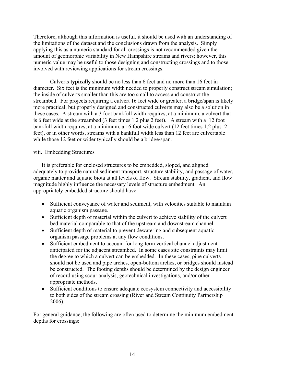<span id="page-13-0"></span>Therefore, although this information is useful, it should be used with an understanding of the limitations of the dataset and the conclusions drawn from the analysis. Simply applying this as a numeric standard for all crossings is not recommended given the amount of geomorphic variability in New Hampshire streams and rivers; however, this numeric value may be useful to those designing and constructing crossings and to those involved with reviewing applications for stream crossings.

Culverts **typically** should be no less than 6 feet and no more than 16 feet in diameter. Six feet is the minimum width needed to properly construct stream simulation; the inside of culverts smaller than this are too small to access and construct the streambed. For projects requiring a culvert 16 feet wide or greater, a bridge/span is likely more practical, but properly designed and constructed culverts may also be a solution in these cases. A stream with a 3 foot bankfull width requires, at a minimum, a culvert that is 6 feet wide at the streambed (3 feet times 1.2 plus 2 feet). A stream with a 12 foot bankfull width requires, at a minimum, a 16 foot wide culvert (12 feet times 1.2 plus 2 feet), or in other words, streams with a bankfull width less than 12 feet are culvertable while those 12 feet or wider typically should be a bridge/span.

# viii. Embedding Structures

It is preferable for enclosed structures to be embedded, sloped, and aligned adequately to provide natural sediment transport, structure stability, and passage of water, organic matter and aquatic biota at all levels of flow. Stream stability, gradient, and flow magnitude highly influence the necessary levels of structure embedment. An appropriately embedded structure should have:

- Sufficient conveyance of water and sediment, with velocities suitable to maintain aquatic organism passage.
- Sufficient depth of material within the culvert to achieve stability of the culvert bed material comparable to that of the upstream and downstream channel.
- Sufficient depth of material to prevent dewatering and subsequent aquatic organism passage problems at any flow conditions.
- Sufficient embedment to account for long-term vertical channel adjustment anticipated for the adjacent streambed. In some cases site constraints may limit the degree to which a culvert can be embedded. In these cases, pipe culverts should not be used and pipe arches, open-bottom arches, or bridges should instead be constructed. The footing depths should be determined by the design engineer of record using scour analysis, geotechnical investigations, and/or other appropriate methods.
- Sufficient conditions to ensure adequate ecosystem connectivity and accessibility to both sides of the stream crossing (River and Stream Continuity Partnership 2006).

For general guidance, the following are often used to determine the minimum embedment depths for crossings: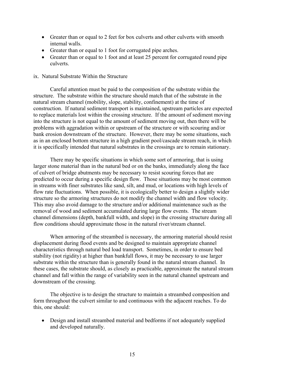- <span id="page-14-0"></span>• Greater than or equal to 2 feet for box culverts and other culverts with smooth internal walls.
- Greater than or equal to 1 foot for corrugated pipe arches.
- Greater than or equal to 1 foot and at least 25 percent for corrugated round pipe culverts.

## ix. Natural Substrate Within the Structure

Careful attention must be paid to the composition of the substrate within the structure. The substrate within the structure should match that of the substrate in the natural stream channel (mobility, slope, stability, confinement) at the time of construction. If natural sediment transport is maintained, upstream particles are expected to replace materials lost within the crossing structure. If the amount of sediment moving into the structure is not equal to the amount of sediment moving out, then there will be problems with aggradation within or upstream of the structure or with scouring and/or bank erosion downstream of the structure. However, there may be some situations, such as in an enclosed bottom structure in a high gradient pool/cascade stream reach, in which it is specifically intended that natural substrates in the crossings are to remain stationary.

There may be specific situations in which some sort of armoring, that is using larger stone material than in the natural bed or on the banks, immediately along the face of culvert of bridge abutments may be necessary to resist scouring forces that are predicted to occur during a specific design flow. Those situations may be most common in streams with finer substrates like sand, silt, and mud, or locations with high levels of flow rate fluctuations. When possible, it is ecologically better to design a slightly wider structure so the armoring structures do not modify the channel width and flow velocity. This may also avoid damage to the structure and/or additional maintenance such as the removal of wood and sediment accumulated during large flow events. The stream channel dimensions (depth, bankfull width, and slope) in the crossing structure during all flow conditions should approximate those in the natural river/stream channel.

When armoring of the streambed is necessary, the armoring material should resist displacement during flood events and be designed to maintain appropriate channel characteristics through natural bed load transport. Sometimes, in order to ensure bed stability (not rigidity) at higher than bankfull flows, it may be necessary to use larger substrate within the structure than is generally found in the natural stream channel. In these cases, the substrate should, as closely as practicable, approximate the natural stream channel and fall within the range of variability seen in the natural channel upstream and downstream of the crossing.

The objective is to design the structure to maintain a streambed composition and form throughout the culvert similar to and continuous with the adjacent reaches. To do this, one should:

• Design and install streambed material and bedforms if not adequately supplied and developed naturally.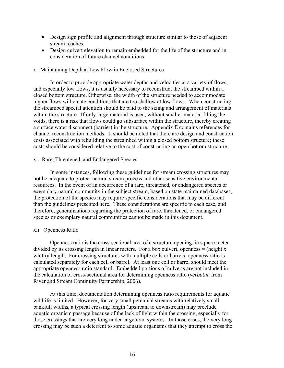- <span id="page-15-0"></span>• Design sign profile and alignment through structure similar to those of adjacent stream reaches.
- Design culvert elevation to remain embedded for the life of the structure and in consideration of future channel conditions.

## x. Maintaining Depth at Low Flow in Enclosed Structures

In order to provide appropriate water depths and velocities at a variety of flows, and especially low flows, it is usually necessary to reconstruct the streambed within a closed bottom structure. Otherwise, the width of the structure needed to accommodate higher flows will create conditions that are too shallow at low flows. When constructing the streambed special attention should be paid to the sizing and arrangement of materials within the structure. If only large material is used, without smaller material filling the voids, there is a risk that flows could go subsurface within the structure, thereby creating a surface water disconnect (barrier) in the structure. Appendix E contains references for channel reconstruction methods. It should be noted that there are design and construction costs associated with rebuilding the streambed within a closed bottom structure; these costs should be considered relative to the cost of constructing an open bottom structure.

## xi. Rare, Threatened, and Endangered Species

In some instances, following these guidelines for stream crossing structures may not be adequate to protect natural stream process and other sensitive environmental resources. In the event of an occurrence of a rare, threatened, or endangered species or exemplary natural community in the subject stream, based on state maintained databases, the protection of the species may require specific considerations that may be different than the guidelines presented here. These considerations are specific to each case, and therefore, generalizations regarding the protection of rare, threatened, or endangered species or exemplary natural communities cannot be made in this document.

# xii. Openness Ratio

Openness ratio is the cross-sectional area of a structure opening, in square meter, divided by its crossing length in linear meters. For a box culvert, openness  $=$  (height x width)/ length. For crossing structures with multiple cells or barrels, openness ratio is calculated separately for each cell or barrel. At least one cell or barrel should meet the appropriate openness ratio standard. Embedded portions of culverts are not included in the calculation of cross-sectional area for determining openness ratio (*verbatim* from River and Stream Continuity Partnership, 2006).

At this time, documentation determining openness ratio requirements for aquatic wildlife is limited. However, for very small perennial streams with relatively small bankfull widths, a typical crossing length (upstream to downstream) may preclude aquatic organism passage because of the lack of light within the crossing, especially for those crossings that are very long under large road systems. In those cases, the very long crossing may be such a deterrent to some aquatic organisms that they attempt to cross the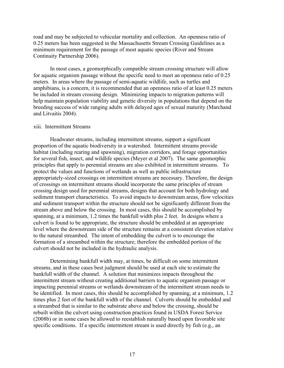<span id="page-16-0"></span>road and may be subjected to vehicular mortality and collection. An openness ratio of 0.25 meters has been suggested in the Massachusetts Stream Crossing Guidelines as a minimum requirement for the passage of most aquatic species (River and Stream Continuity Partnership 2006).

In most cases, a geomorphically compatible stream crossing structure will allow for aquatic organism passage without the specific need to meet an openness ratio of 0.25 meters. In areas where the passage of semi-aquatic wildlife, such as turtles and amphibians, is a concern, it is recommended that an openness ratio of at least 0.25 meters be included in stream crossing design. Minimizing impacts to migration patterns will help maintain population viability and genetic diversity in populations that depend on the breeding success of wide ranging adults with delayed ages of sexual maturity (Marchand and Litvaitis 2004).

#### xiii. Intermittent Streams

Headwater streams, including intermittent streams, support a significant proportion of the aquatic biodiversity in a watershed. Intermittent streams provide habitat (including rearing and spawning), migration corridors, and forage opportunities for several fish, insect, and wildlife species (Meyer et al 2007). The same geomorphic principles that apply to perennial streams are also exhibited in intermittent streams. To protect the values and functions of wetlands as well as public infrastructure appropriately-sized crossings on intermittent streams are necessary. Therefore, the design of crossings on intermittent streams should incorporate the same principles of stream crossing design used for perennial streams, designs that account for both hydrology and sediment transport characteristics. To avoid impacts to downstream areas, flow velocities and sediment transport within the structure should not be significantly different from the stream above and below the crossing. In most cases, this should be accomplished by spanning, at a minimum, 1.2 times the bankfull width plus 2 feet. In designs where a culvert is found to be appropriate, the structure should be embedded at an appropriate level where the downstream side of the structure remains at a consistent elevation relative to the natural streambed. The intent of embedding the culvert is to encourage the formation of a streambed within the structure; therefore the embedded portion of the culvert should not be included in the hydraulic analysis.

Determining bankfull width may, at times, be difficult on some intermittent streams, and in these cases best judgment should be used at each site to estimate the bankfull width of the channel. A solution that minimizes impacts throughout the intermittent stream without creating additional barriers to aquatic organism passage or impacting perennial streams or wetlands downstream of the intermittent stream needs to be identified. In most cases, this should be accomplished by spanning, at a minimum, 1.2 times plus 2 feet of the bankfull width of the channel. Culverts should be embedded and a streambed that is similar to the substrate above and below the crossing, should be rebuilt within the culvert using construction practices found in USDA Forest Service (2008b) or in some cases be allowed to reestablish naturally based upon favorable site specific conditions. If a specific intermittent stream is used directly by fish (e.g., an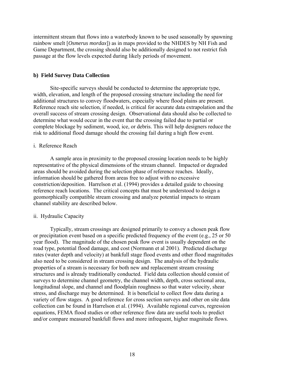<span id="page-17-0"></span>intermittent stream that flows into a waterbody known to be used seasonally by spawning rainbow smelt [*Osmerus mordax*]) as in maps provided to the NHDES by NH Fish and Game Department, the crossing should also be additionally designed to not restrict fish passage at the flow levels expected during likely periods of movement.

## **b) Field Survey Data Collection**

Site-specific surveys should be conducted to determine the appropriate type, width, elevation, and length of the proposed crossing structure including the need for additional structures to convey floodwaters, especially where flood plains are present. Reference reach site selection, if needed, is critical for accurate data extrapolation and the overall success of stream crossing design. Observational data should also be collected to determine what would occur in the event that the crossing failed due to partial or complete blockage by sediment, wood, ice, or debris. This will help designers reduce the risk to additional flood damage should the crossing fail during a high flow event.

### i. Reference Reach

A sample area in proximity to the proposed crossing location needs to be highly representative of the physical dimensions of the stream channel. Impacted or degraded areas should be avoided during the selection phase of reference reaches. Ideally, information should be gathered from areas free to adjust with no excessive constriction/deposition. Harrelson et al. (1994) provides a detailed guide to choosing reference reach locations. The critical concepts that must be understood to design a geomorphically compatible stream crossing and analyze potential impacts to stream channel stability are described below.

## ii. Hydraulic Capacity

Typically, stream crossings are designed primarily to convey a chosen peak flow or precipitation event based on a specific predicted frequency of the event (e.g., 25 or 50 year flood). The magnitude of the chosen peak flow event is usually dependent on the road type, potential flood damage, and cost (Normann et al 2001). Predicted discharge rates (water depth and velocity) at bankfull stage flood events and other flood magnitudes also need to be considered in stream crossing design. The analysis of the hydraulic properties of a stream is necessary for both new and replacement stream crossing structures and is already traditionally conducted. Field data collection should consist of surveys to determine channel geometry, the channel width, depth, cross sectional area, longitudinal slope, and channel and floodplain roughness so that water velocity, shear stress, and discharge may be determined. It is beneficial to collect flow data during a variety of flow stages. A good reference for cross section surveys and other on site data collection can be found in Harrelson et al. (1994). Available regional curves, regression equations, FEMA flood studies or other reference flow data are useful tools to predict and/or compare measured bankfull flows and more infrequent, higher magnitude flows.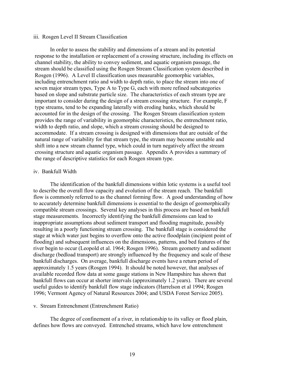## <span id="page-18-0"></span>iii. Rosgen Level II Stream Classification

In order to assess the stability and dimensions of a stream and its potential response to the installation or replacement of a crossing structure, including its effects on channel stability, the ability to convey sediment, and aquatic organism passage, the stream should be classified using the Rosgen Stream Classification system described in Rosgen (1996). A Level II classification uses measurable geomorphic variables, including entrenchment ratio and width to depth ratio, to place the stream into one of seven major stream types, Type A to Type G, each with more refined subcategories based on slope and substrate particle size. The characteristics of each stream type are important to consider during the design of a stream crossing structure. For example, F type streams, tend to be expanding laterally with eroding banks, which should be accounted for in the design of the crossing. The Rosgen Stream classification system provides the range of variability in geomorphic characteristics, the entrenchment ratio, width to depth ratio, and slope, which a stream crossing should be designed to accommodate. If a stream crossing is designed with dimensions that are outside of the natural range of variability for that stream type, the stream may become unstable and shift into a new stream channel type, which could in turn negatively affect the stream crossing structure and aquatic organism passage. Appendix A provides a summary of the range of descriptive statistics for each Rosgen stream type.

## iv. Bankfull Width

The identification of the bankfull dimensions within lotic systems is a useful tool to describe the overall flow capacity and evolution of the stream reach. The bankfull flow is commonly referred to as the channel forming flow. A good understanding of how to accurately determine bankfull dimensions is essential to the design of geomorphically compatible stream crossings. Several key analyses in this process are based on bankfull stage measurements. Incorrectly identifying the bankfull dimensions can lead to inappropriate assumptions about sediment transport and flooding magnitude, possibly resulting in a poorly functioning stream crossing. The bankfull stage is considered the stage at which water just begins to overflow onto the active floodplain (incipient point of flooding) and subsequent influences on the dimensions, patterns, and bed features of the river begin to occur (Leopold et al. 1964; Rosgen 1996). Stream geometry and sediment discharge (bedload transport) are strongly influenced by the frequency and scale of these bankfull discharges. On average, bankfull discharge events have a return period of approximately 1.5 years (Rosgen 1994). It should be noted however, that analyses of available recorded flow data at some gauge stations in New Hampshire has shown that bankfull flows can occur at shorter intervals (approximately 1.2 years). There are several useful guides to identify bankfull flow stage indicators (Harrelson et al 1994; Rosgen 1996; Vermont Agency of Natural Resources 2004; and USDA Forest Service 2005).

#### v. Stream Entrenchment (Entrenchment Ratio)

The degree of confinement of a river, in relationship to its valley or flood plain, defines how flows are conveyed. Entrenched streams, which have low entrenchment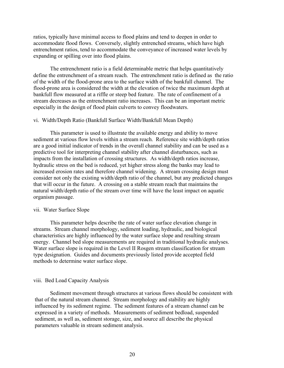<span id="page-19-0"></span>ratios, typically have minimal access to flood plains and tend to deepen in order to accommodate flood flows. Conversely, slightly entrenched streams, which have high entrenchment ratios, tend to accommodate the conveyance of increased water levels by expanding or spilling over into flood plains.

The entrenchment ratio is a field determinable metric that helps quantitatively define the entrenchment of a stream reach. The entrenchment ratio is defined as the ratio of the width of the flood-prone area to the surface width of the bankfull channel. The flood-prone area is considered the width at the elevation of twice the maximum depth at bankfull flow measured at a riffle or steep bed feature. The rate of confinement of a stream decreases as the entrenchment ratio increases. This can be an important metric especially in the design of flood plain culverts to convey floodwaters.

#### vi. Width/Depth Ratio (Bankfull Surface Width/Bankfull Mean Depth)

This parameter is used to illustrate the available energy and ability to move sediment at various flow levels within a stream reach. Reference site width/depth ratios are a good initial indicator of trends in the overall channel stability and can be used as a predictive tool for interpreting channel stability after channel disturbances, such as impacts from the installation of crossing structures. As width/depth ratios increase, hydraulic stress on the bed is reduced, yet higher stress along the banks may lead to increased erosion rates and therefore channel widening. A stream crossing design must consider not only the existing width/depth ratio of the channel, but any predicted changes that will occur in the future. A crossing on a stable stream reach that maintains the natural width/depth ratio of the stream over time will have the least impact on aquatic organism passage.

#### vii. Water Surface Slope

This parameter helps describe the rate of water surface elevation change in streams. Stream channel morphology, sediment loading, hydraulic, and biological characteristics are highly influenced by the water surface slope and resulting stream energy. Channel bed slope measurements are required in traditional hydraulic analyses. Water surface slope is required in the Level II Rosgen stream classification for stream type designation. Guides and documents previously listed provide accepted field methods to determine water surface slope.

#### viii. Bed Load Capacity Analysis

Sediment movement through structures at various flows should be consistent with that of the natural stream channel. Stream morphology and stability are highly influenced by its sediment regime. The sediment features of a stream channel can be expressed in a variety of methods. Measurements of sediment bedload, suspended sediment, as well as, sediment storage, size, and source all describe the physical parameters valuable in stream sediment analysis.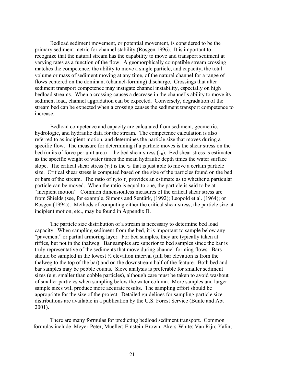Bedload sediment movement, or potential movement, is considered to be the primary sediment metric for channel stability (Rosgen 1996). It is important to recognize that the natural stream has the capability to move and transport sediment at varying rates as a function of the flow. A geomorphically compatible stream crossing matches the competence, the ability to move a single particle, and capacity, the total volume or mass of sediment moving at any time, of the natural channel for a range of flows centered on the dominant (channel-forming) discharge. Crossings that alter sediment transport competence may instigate channel instability, especially on high bedload streams. When a crossing causes a decrease in the channel's ability to move its sediment load, channel aggradation can be expected. Conversely, degradation of the stream bed can be expected when a crossing causes the sediment transport competence to increase.

 Bedload competence and capacity are calculated from sediment, geometric, hydrologic, and hydraulic data for the stream. The competence calculation is also referred to as incipient motion, and determines the particle size that moves during a specific flow. The measure for determining if a particle moves is the shear stress on the bed (units of force per unit area) – the bed shear stress ( $\tau_0$ ). Bed shear stress is estimated as the specific weight of water times the mean hydraulic depth times the water surface slope. The critical shear stress  $(\tau_c)$  is the  $\tau_0$  that is just able to move a certain particle size. Critical shear stress is computed based on the size of the particles found on the bed or bars of the stream. The ratio of  $\tau_0$  to  $\tau_c$  provides an estimate as to whether a particular particle can be moved. When the ratio is equal to one, the particle is said to be at "incipient motion". Common dimensionless measures of the critical shear stress are from Shields (see, for example, Simons and Sentūrk, (1992); Leopold et al. (1964); or Rosgen (1994)). Methods of computing either the critical shear stress, the particle size at incipient motion, etc., may be found in Appendix B.

 The particle size distribution of a stream is necessary to determine bed load capacity. When sampling sediment from the bed, it is important to sample below any "pavement" or partial armoring layer. For bed samples, they are typically taken at riffles, but not in the thalweg. Bar samples are superior to bed samples since the bar is truly representative of the sediments that move during channel-forming flows. Bars should be sampled in the lowest  $\frac{1}{2}$  elevation interval (full bar elevation is from the thalweg to the top of the bar) and on the downstream half of the feature. Both bed and bar samples may be pebble counts. Sieve analysis is preferable for smaller sediment sizes (e.g. smaller than cobble particles), although care must be taken to avoid washout of smaller particles when sampling below the water column. More samples and larger sample sizes will produce more accurate results. The sampling effort should be appropriate for the size of the project. Detailed guidelines for sampling particle size distributions are available in a publication by the U.S. Forest Service (Bunte and Abt 2001).

 There are many formulas for predicting bedload sediment transport. Common formulas include Meyer-Peter, Müeller; Einstein-Brown; Akers-White; Van Rijn; Yalin;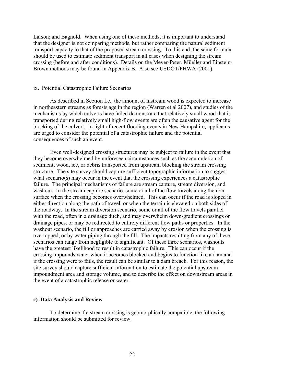<span id="page-21-0"></span>Larson; and Bagnold. When using one of these methods, it is important to understand that the designer is not comparing methods, but rather comparing the natural sediment transport capacity to that of the proposed stream crossing. To this end, the same formula should be used to estimate sediment transport in all cases when designing the stream crossing (before and after conditions). Details on the Meyer-Peter, Müeller and Einstein-Brown methods may be found in Appendix B. Also see USDOT/FHWA (2001).

### ix. Potential Catastrophic Failure Scenarios

As described in Section I.c., the amount of instream wood is expected to increase in northeastern streams as forests age in the region (Warren et al 2007), and studies of the mechanisms by which culverts have failed demonstrate that relatively small wood that is transported during relatively small high-flow events are often the causative agent for the blocking of the culvert. In light of recent flooding events in New Hampshire, applicants are urged to consider the potential of a catastrophic failure and the potential consequences of such an event.

Even well-designed crossing structures may be subject to failure in the event that they become overwhelmed by unforeseen circumstances such as the accumulation of sediment, wood, ice, or debris transported from upstream blocking the stream crossing structure. The site survey should capture sufficient topographic information to suggest what scenario(s) may occur in the event that the crossing experiences a catastrophic failure. The principal mechanisms of failure are stream capture, stream diversion, and washout. In the stream capture scenario, some or all of the flow travels along the road surface when the crossing becomes overwhelmed. This can occur if the road is sloped in either direction along the path of travel, or when the terrain is elevated on both sides of the roadway. In the stream diversion scenario, some or all of the flow travels parallel with the road, often in a drainage ditch, and may overwhelm down-gradient crossings or drainage pipes, or may be redirected to entirely different flow paths or properties. In the washout scenario, the fill or approaches are carried away by erosion when the crossing is overtopped, or by water piping through the fill. The impacts resulting from any of these scenarios can range from negligible to significant. Of these three scenarios, washouts have the greatest likelihood to result in catastrophic failure. This can occur if the crossing impounds water when it becomes blocked and begins to function like a dam and if the crossing were to fails, the result can be similar to a dam breach. For this reason, the site survey should capture sufficient information to estimate the potential upstream impoundment area and storage volume, and to describe the effect on downstream areas in the event of a catastrophic release or water.

#### **c) Data Analysis and Review**

To determine if a stream crossing is geomorphically compatible, the following information should be submitted for review.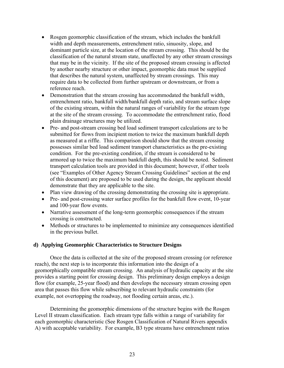- <span id="page-22-0"></span>• Rosgen geomorphic classification of the stream, which includes the bankfull width and depth measurements, entrenchment ratio, sinuosity, slope, and dominant particle size, at the location of the stream crossing. This should be the classification of the natural stream state, unaffected by any other stream crossings that may be in the vicinity. If the site of the proposed stream crossing is affected by another nearby structure or other impact, geomorphic data must be supplied that describes the natural system, unaffected by stream crossings. This may require data to be collected from further upstream or downstream, or from a reference reach.
- Demonstration that the stream crossing has accommodated the bankfull width, entrenchment ratio, bankfull width/bankfull depth ratio, and stream surface slope of the existing stream, within the natural ranges of variability for the stream type at the site of the stream crossing. To accommodate the entrenchment ratio, flood plain drainage structures may be utilized.
- Pre- and post-stream crossing bed load sediment transport calculations are to be submitted for flows from incipient motion to twice the maximum bankfull depth as measured at a riffle. This comparison should show that the stream crossing possesses similar bed load sediment transport characteristics as the pre-existing condition. For the pre-existing condition, if the stream is considered to be armored up to twice the maximum bankfull depth, this should be noted. Sediment transport calculation tools are provided in this document; however, if other tools (see "Examples of Other Agency Stream Crossing Guidelines" section at the end of this document) are proposed to be used during the design, the applicant should demonstrate that they are applicable to the site.
- Plan view drawing of the crossing demonstrating the crossing site is appropriate.
- Pre- and post-crossing water surface profiles for the bankfull flow event, 10-year and 100-year flow events.
- Narrative assessment of the long-term geomorphic consequences if the stream crossing is constructed.
- Methods or structures to be implemented to minimize any consequences identified in the previous bullet.

# **d) Applying Geomorphic Characteristics to Structure Designs**

Once the data is collected at the site of the proposed stream crossing (or reference reach), the next step is to incorporate this information into the design of a geomorphically compatible stream crossing. An analysis of hydraulic capacity at the site provides a starting point for crossing design. This preliminary design employs a design flow (for example, 25-year flood) and then develops the necessary stream crossing open area that passes this flow while subscribing to relevant hydraulic constraints (for example, not overtopping the roadway, not flooding certain areas, etc.).

Determining the geomorphic dimensions of the structure begins with the Rosgen Level II stream classification. Each stream type falls within a range of variability for each geomorphic characteristic (See Rosgen Classification of Natural Rivers appendix A) with acceptable variability. For example, B3 type streams have entrenchment ratios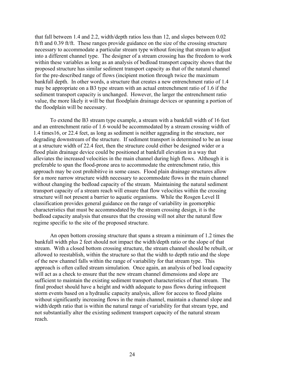that fall between 1.4 and 2.2, width/depth ratios less than 12, and slopes between 0.02 ft/ft and 0.39 ft/ft. These ranges provide guidance on the size of the crossing structure necessary to accommodate a particular stream type without forcing that stream to adjust into a different channel type. The designer of a stream crossing has the freedom to work within these variables as long as an analysis of bedload transport capacity shows that the proposed structure has similar sediment transport capacity as that of the natural channel for the pre-described range of flows (incipient motion through twice the maximum bankfull depth. In other words, a structure that creates a new entrenchment ratio of 1.4 may be appropriate on a B3 type stream with an actual entrenchment ratio of 1.6 if the sediment transport capacity is unchanged. However, the larger the entrenchment ratio value, the more likely it will be that floodplain drainage devices or spanning a portion of the floodplain will be necessary.

To extend the B3 stream type example, a stream with a bankfull width of 16 feet and an entrenchment ratio of 1.6 would be accommodated by a stream crossing width of 1.4 times16, or 22.4 feet, as long as sediment is neither aggrading in the structure, nor degrading downstream of the structure. If sediment transport is determined to be an issue at a structure width of 22.4 feet, then the structure could either be designed wider or a flood plain drainage device could be positioned at bankfull elevation in a way that alleviates the increased velocities in the main channel during high flows. Although it is preferable to span the flood-prone area to accommodate the entrenchment ratio, this approach may be cost prohibitive in some cases. Flood plain drainage structures allow for a more narrow structure width necessary to accommodate flows in the main channel without changing the bedload capacity of the stream. Maintaining the natural sediment transport capacity of a stream reach will ensure that flow velocities within the crossing structure will not present a barrier to aquatic organisms. While the Rosgen Level II classification provides general guidance on the range of variability in geomorphic characteristics that must be accommodated by the stream crossing design, it is the bedload capacity analysis that ensures that the crossing will not alter the natural flow regime specific to the site of the proposed structure.

An open bottom crossing structure that spans a stream a minimum of 1.2 times the bankfull width plus 2 feet should not impact the width/depth ratio or the slope of that stream. With a closed bottom crossing structure, the stream channel should be rebuilt, or allowed to reestablish, within the structure so that the width to depth ratio and the slope of the new channel falls within the range of variability for that stream type. This approach is often called stream simulation. Once again, an analysis of bed load capacity will act as a check to ensure that the new stream channel dimensions and slope are sufficient to maintain the existing sediment transport characteristics of that stream. The final product should have a height and width adequate to pass flows during infrequent storm events based on a hydraulic capacity analysis, allow for access to flood plains without significantly increasing flows in the main channel, maintain a channel slope and width/depth ratio that is within the natural range of variability for that stream type, and not substantially alter the existing sediment transport capacity of the natural stream reach.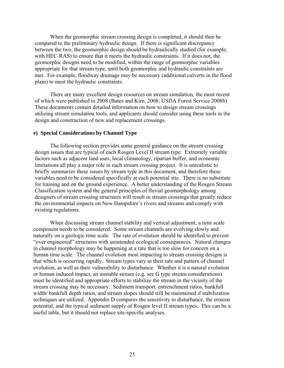<span id="page-24-0"></span>When the geomorphic stream crossing design is completed, it should then be compared to the preliminary hydraulic design. If there is significant discrepancy between the two, the geomorphic design should be hydraulically studied (for example, with HEC-RAS) to ensure that it meets the hydraulic constraints. If it does not, the geomorphic designs need to be modified, within the range of geomorphic variables appropriate for that stream type, until both geomorphic and hydraulic constraints are met. For example, floodway drainage may be necessary (additional culverts in the flood plain) to meet the hydraulic constraints.

There are many excellent design resources on stream simulation, the most recent of which were published in 2008 (Bates and Kirn, 2008; USDA Forest Service 2008b). These documents contain detailed information on how to design stream crossings utilizing stream simulation tools, and applicants should consider using these tools in the design and construction of new and replacement crossings.

### **e) Special Considerations by Channel Type**

The following section provides some general guidance on the stream crossing design issues that are typical of each Rosgen Level II stream type. Extremely variable factors such as adjacent land uses, local climatology, riparian buffer, and economic limitations all play a major role in each stream crossing project. It is unrealistic to briefly summarize these issues by stream type in this document, and therefore these variables need to be considered specifically at each potential site. There is no substitute for training and on the ground experience. A better understanding of the Rosgen Stream Classification system and the general principles of fluvial geomorphology among designers of stream crossing structures will result in stream crossings that greatly reduce the environmental impacts on New Hampshire's rivers and streams and comply with existing regulations.

When discussing stream channel stability and vertical adjustment, a time scale component needs to be considered. Some stream channels are evolving slowly and naturally on a geologic time scale. The rate of evolution should be identified to prevent "over engineered" structures with unintended ecological consequences. Natural changes in channel morphology may be happening at a rate that is too slow for concern on a human time scale. The channel evolution most impacting to stream crossing designs is that which is occurring rapidly. Stream types vary in their rate and pattern of channel evolution, as well as their vulnerability to disturbance. Whether it is a natural evolution or human induced impact, an unstable stream (e.g. see G type stream considerations) must be identified and appropriate efforts to stabilize the stream in the vicinity of the stream crossing may be necessary. Sediment transport, entrenchment ratios, bankfull width/ bankfull depth ratios, and stream slopes should still be maintained if stabilization techniques are utilized. Appendix D compares the sensitivity to disturbance, the erosion potential, and the typical sediment supply of Rosgen level II stream types. This can be a useful table, but it should not replace site-specific analyses.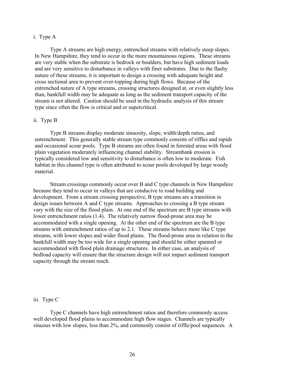### <span id="page-25-0"></span>i. Type A

Type A streams are high energy, entrenched streams with relatively steep slopes. In New Hampshire, they tend to occur in the more mountainous regions. These streams are very stable when the substrate is bedrock or boulders, but have high sediment loads and are very sensitive to disturbance in valleys with finer substrates. Due to the flashy nature of these streams, it is important to design a crossing with adequate height and cross sectional area to prevent over-topping during high flows. Because of the entrenched nature of A type streams, crossing structures designed at, or even slightly less than, bankfull width may be adequate as long as the sediment transport capacity of the stream is not altered. Caution should be used in the hydraulic analysis of this stream type since often the flow is critical and or supercritical.

## ii. Type B

Type B streams display moderate sinuosity, slope, width/depth ratios, and entrenchment. This generally stable stream type commonly consists of riffles and rapids and occasional scour pools. Type B streams are often found in forested areas with flood plain vegetation moderately influencing channel stability. Streambank erosion is typically considered low and sensitivity to disturbance is often low to moderate. Fish habitat in this channel type is often attributed to scour pools developed by large woody material.

Stream crossings commonly occur over B and C type channels in New Hampshire because they tend to occur in valleys that are conducive to road building and development. From a stream crossing perspective, B type streams are a transition in design issues between A and C type streams. Approaches to crossing a B type stream vary with the size of the flood plain. At one end of the spectrum are B type streams with lower entrenchment ratios (1.4). The relatively narrow flood-prone area may be accommodated with a single opening. At the other end of the spectrum are the B type streams with entrenchment ratios of up to 2.1. These streams behave more like C type streams, with lower slopes and wider flood plains. The flood-prone area in relation to the bankfull width may be too wide for a single opening and should be either spanned or accommodated with flood plain drainage structures. In either case, an analysis of bedload capacity will ensure that the structure design will not impact sediment transport capacity through the stream reach.

#### iii. Type C

Type C channels have high entrenchment ratios and therefore commonly access well developed flood plains to accommodate high flow stages. Channels are typically sinuous with low slopes, less than 2%, and commonly consist of riffle/pool sequences. A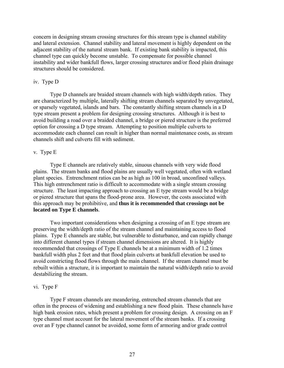<span id="page-26-0"></span>concern in designing stream crossing structures for this stream type is channel stability and lateral extension. Channel stability and lateral movement is highly dependent on the adjacent stability of the natural stream bank. If existing bank stability is impacted, this channel type can quickly become unstable. To compensate for possible channel instability and wider bankfull flows, larger crossing structures and/or flood plain drainage structures should be considered.

#### iv. Type D

Type D channels are braided stream channels with high width/depth ratios. They are characterized by multiple, laterally shifting stream channels separated by unvegetated, or sparsely vegetated, islands and bars. The constantly shifting stream channels in a D type stream present a problem for designing crossing structures. Although it is best to avoid building a road over a braided channel, a bridge or piered structure is the preferred option for crossing a D type stream. Attempting to position multiple culverts to accommodate each channel can result in higher than normal maintenance costs, as stream channels shift and culverts fill with sediment.

## v. Type E

Type E channels are relatively stable, sinuous channels with very wide flood plains. The stream banks and flood plains are usually well vegetated, often with wetland plant species. Entrenchment ratios can be as high as 100 in broad, unconfined valleys. This high entrenchment ratio is difficult to accommodate with a single stream crossing structure. The least impacting approach to crossing an E type stream would be a bridge or piered structure that spans the flood-prone area. However, the costs associated with this approach may be prohibitive, and **thus it is recommended that crossings not be located on Type E channels**.

Two important considerations when designing a crossing of an E type stream are preserving the width/depth ratio of the stream channel and maintaining access to flood plains. Type E channels are stable, but vulnerable to disturbance, and can rapidly change into different channel types if stream channel dimensions are altered. It is highly recommended that crossings of Type E channels be at a minimum width of 1.2 times bankfull width plus 2 feet and that flood plain culverts at bankfull elevation be used to avoid constricting flood flows through the main channel. If the stream channel must be rebuilt within a structure, it is important to maintain the natural width/depth ratio to avoid destabilizing the stream.

### vi. Type F

Type F stream channels are meandering, entrenched stream channels that are often in the process of widening and establishing a new flood plain. These channels have high bank erosion rates, which present a problem for crossing design. A crossing on an F type channel must account for the lateral movement of the stream banks. If a crossing over an F type channel cannot be avoided, some form of armoring and/or grade control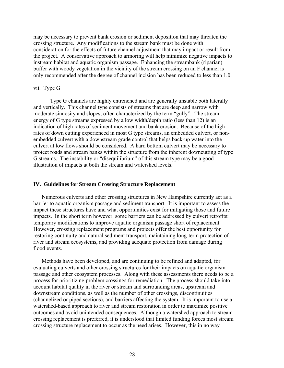<span id="page-27-0"></span>may be necessary to prevent bank erosion or sediment deposition that may threaten the crossing structure. Any modifications to the stream bank must be done with consideration for the effects of future channel adjustment that may impact or result from the project. A conservative approach to armoring will help minimize negative impacts to instream habitat and aquatic organism passage. Enhancing the streambank (riparian) buffer with woody vegetation in the vicinity of the stream crossing on an F channel is only recommended after the degree of channel incision has been reduced to less than 1.0.

## vii. Type G

Type G channels are highly entrenched and are generally unstable both laterally and vertically. This channel type consists of streams that are deep and narrow with moderate sinuosity and slopes; often characterized by the term "gully". The stream energy of G type streams expressed by a low width/depth ratio (less than 12) is an indication of high rates of sediment movement and bank erosion. Because of the high rates of down cutting experienced in most G type streams, an embedded culvert, or nonembedded culvert with a downstream grade control that helps back-up water into the culvert at low flows should be considered. A hard bottom culvert may be necessary to protect roads and stream banks within the structure from the inherent downcutting of type G streams. The instability or "disequilibrium" of this stream type may be a good illustration of impacts at both the stream and watershed levels.

#### **IV. Guidelines for Stream Crossing Structure Replacement**

Numerous culverts and other crossing structures in New Hampshire currently act as a barrier to aquatic organism passage and sediment transport. It is important to assess the impact these structures have and what opportunities exist for mitigating those and future impacts. In the short term however, some barriers can be addressed by culvert retrofits: temporary modifications to improve aquatic organism passage short of replacement. However, crossing replacement programs and projects offer the best opportunity for restoring continuity and natural sediment transport, maintaining long-term protection of river and stream ecosystems, and providing adequate protection from damage during flood events.

Methods have been developed, and are continuing to be refined and adapted, for evaluating culverts and other crossing structures for their impacts on aquatic organism passage and other ecosystem processes. Along with these assessments there needs to be a process for prioritizing problem crossings for remediation. The process should take into account habitat quality in the river or stream and surrounding areas, upstream and downstream conditions, as well as the number of other crossings, discontinuities (channelized or piped sections), and barriers affecting the system. It is important to use a watershed-based approach to river and stream restoration in order to maximize positive outcomes and avoid unintended consequences. Although a watershed approach to stream crossing replacement is preferred, it is understood that limited funding forces most stream crossing structure replacement to occur as the need arises. However, this in no way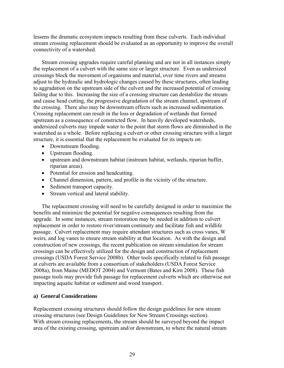<span id="page-28-0"></span>lessens the dramatic ecosystem impacts resulting from these culverts. Each individual stream crossing replacement should be evaluated as an opportunity to improve the overall connectivity of a watershed.

Stream crossing upgrades require careful planning and are not in all instances simply the replacement of a culvert with the same size or larger structure. Even as undersized crossings block the movement of organisms and material, over time rivers and streams adjust to the hydraulic and hydrologic changes caused by these structures, often leading to aggradation on the upstream side of the culvert and the increased potential of crossing failing due to this. Increasing the size of a crossing structure can destabilize the stream and cause head cutting, the progressive degradation of the stream channel, upstream of the crossing. There also may be downstream effects such as increased sedimentation. Crossing replacement can result in the loss or degradation of wetlands that formed upstream as a consequence of constricted flow. In heavily developed watersheds, undersized culverts may impede water to the point that storm flows are diminished in the watershed as a whole. Before replacing a culvert or other crossing structure with a larger structure, it is essential that the replacement be evaluated for its impacts on:

- Downstream flooding.
- Upstream flooding.
- upstream and downstream habitat (instream habitat, wetlands, riparian buffer, riparian areas).
- Potential for erosion and headcutting.
- Channel dimension, pattern, and profile in the vicinity of the structure.
- Sediment transport capacity.
- Stream vertical and lateral stability.

The replacement crossing will need to be carefully designed in order to maximize the benefits and minimize the potential for negative consequences resulting from the upgrade. In some instances, stream restoration may be needed in addition to culvert replacement in order to restore river/stream continuity and facilitate fish and wildlife passage. Culvert replacement may require attendant structures such as cross vanes, W weirs, and log vanes to ensure stream stability at that location. As with the design and construction of new crossings, the recent publication on stream simulation for stream crossings can be effectively utilized for the design and construction of replacement crossings (USDA Forest Service 2008b). Other tools specifically related to fish passage at culverts are available from a consortium of stakeholders (USDA Forest Service 2008a), from Maine (MEDOT 2004) and Vermont (Bates and Kirn 2008). These fish passage tools may provide fish passage for replacement culverts which are otherwise not impacting aquatic habitat or sediment and wood transport.

# **a) General Considerations**

Replacement crossing structures should follow the design guidelines for new stream crossing structures (see Design Guidelines for New Stream Crossings section). With stream crossing replacements, the stream should be surveyed beyond the impact area of the existing crossing, upstream and/or downstream, to where the natural stream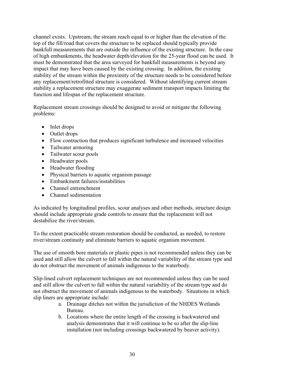channel exists. Upstream, the stream reach equal to or higher than the elevation of the top of the fill/road that covers the structure to be replaced should typically provide bankfull measurements that are outside the influence of the existing structure. In the case of high embankments, the headwater depth/elevation for the 25-year flood can be used. It must be demonstrated that the area surveyed for bankfull measurements is beyond any impact that may have been caused by the existing crossing. In addition, the existing stability of the stream within the proximity of the structure needs to be considered before any replacement/retrofitted structure is considered. Without identifying current stream stability a replacement structure may exaggerate sediment transport impacts limiting the function and lifespan of the replacement structure.

Replacement stream crossings should be designed to avoid or mitigate the following problems:

- Inlet drops
- Outlet drops
- Flow contraction that produces significant turbulence and increased velocities
- Tailwater armoring
- Tailwater scour pools
- Headwater pools
- Headwater flooding
- Physical barriers to aquatic organism passage
- Embankment failures/instabilities
- Channel entrenchment
- Channel sedimentation

As indicated by longitudinal profiles, scour analyses and other methods, structure design should include appropriate grade controls to ensure that the replacement will not destabilize the river/stream.

To the extent practicable stream restoration should be conducted, as needed, to restore river/stream continuity and eliminate barriers to aquatic organism movement.

The use of smooth bore materials or plastic pipes is not recommended unless they can be used and still allow the culvert to fall within the natural variability of the stream type and do not obstruct the movement of animals indigenous to the waterbody.

Slip-lined culvert replacement techniques are not recommended unless they can be used and still allow the culvert to fall within the natural variability of the stream type and do not obstruct the movement of animals indigenous to the waterbody. Situations in which slip liners are appropriate include:

- a. Drainage ditches not within the jurisdiction of the NHDES Wetlands Bureau.
- b. Locations where the entire length of the crossing is backwatered and analysis demonstrates that it will continue to be so after the slip-line installation (not including crossings backwatered by beaver activity).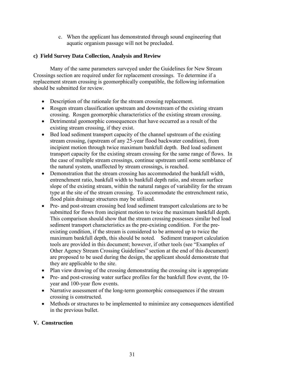c. When the applicant has demonstrated through sound engineering that aquatic organism passage will not be precluded.

# <span id="page-30-0"></span>**c) Field Survey Data Collection, Analysis and Review**

Many of the same parameters surveyed under the Guidelines for New Stream Crossings section are required under for replacement crossings. To determine if a replacement stream crossing is geomorphically compatible, the following information should be submitted for review.

- Description of the rationale for the stream crossing replacement.
- Rosgen stream classification upstream and downstream of the existing stream crossing. Rosgen geomorphic characteristics of the existing stream crossing.
- Detrimental geomorphic consequences that have occurred as a result of the existing stream crossing, if they exist.
- Bed load sediment transport capacity of the channel upstream of the existing stream crossing, (upstream of any 25-year flood backwater condition), from incipient motion through twice maximum bankfull depth. Bed load sediment transport capacity for the existing stream crossing for the same range of flows. In the case of multiple stream crossings, continue upstream until some semblance of the natural system, unaffected by stream crossings, is reached.
- Demonstration that the stream crossing has accommodated the bankfull width, entrenchment ratio, bankfull width to bankfull depth ratio, and stream surface slope of the existing stream, within the natural ranges of variability for the stream type at the site of the stream crossing. To accommodate the entrenchment ratio, flood plain drainage structures may be utilized.
- Pre- and post-stream crossing bed load sediment transport calculations are to be submitted for flows from incipient motion to twice the maximum bankfull depth. This comparison should show that the stream crossing possesses similar bed load sediment transport characteristics as the pre-existing condition. For the preexisting condition, if the stream is considered to be armored up to twice the maximum bankfull depth, this should be noted. Sediment transport calculation tools are provided in this document; however, if other tools (see "Examples of Other Agency Stream Crossing Guidelines" section at the end of this document) are proposed to be used during the design, the applicant should demonstrate that they are applicable to the site.
- Plan view drawing of the crossing demonstrating the crossing site is appropriate
- Pre- and post-crossing water surface profiles for the bankfull flow event, the 10 year and 100-year flow events.
- Narrative assessment of the long-term geomorphic consequences if the stream crossing is constructed.
- Methods or structures to be implemented to minimize any consequences identified in the previous bullet.

# **V. Construction**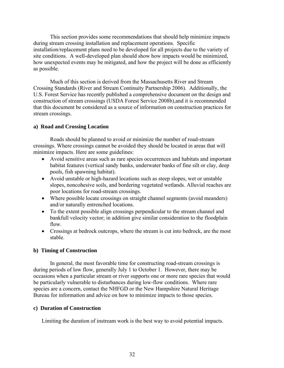<span id="page-31-0"></span>This section provides some recommendations that should help minimize impacts during stream crossing installation and replacement operations. Specific installation/replacement plans need to be developed for all projects due to the variety of site conditions. A well-developed plan should show how impacts would be minimized, how unexpected events may be mitigated, and how the project will be done as efficiently as possible.

Much of this section is derived from the Massachusetts River and Stream Crossing Standards (River and Stream Continuity Partnership 2006). Additionally, the U.S. Forest Service has recently published a comprehensive document on the design and construction of stream crossings (USDA Forest Service 2008b),and it is recommended that this document be considered as a source of information on construction practices for stream crossings.

## **a) Road and Crossing Location**

Roads should be planned to avoid or minimize the number of road-stream crossings. Where crossings cannot be avoided they should be located in areas that will minimize impacts. Here are some guidelines:

- Avoid sensitive areas such as rare species occurrences and habitats and important habitat features (vertical sandy banks, underwater banks of fine silt or clay, deep pools, fish spawning habitat).
- Avoid unstable or high-hazard locations such as steep slopes, wet or unstable slopes, noncohesive soils, and bordering vegetated wetlands. Alluvial reaches are poor locations for road-stream crossings.
- Where possible locate crossings on straight channel segments (avoid meanders) and/or naturally entrenched locations.
- To the extent possible align crossings perpendicular to the stream channel and bankfull velocity vector; in addition give similar consideration to the floodplain flow.
- Crossings at bedrock outcrops, where the stream is cut into bedrock, are the most stable.

# **b) Timing of Construction**

In general, the most favorable time for constructing road-stream crossings is during periods of low flow, generally July 1 to October 1. However, there may be occasions when a particular stream or river supports one or more rare species that would be particularly vulnerable to disturbances during low-flow conditions. Where rare species are a concern, contact the NHFGD or the New Hampshire Natural Heritage Bureau for information and advice on how to minimize impacts to those species.

## **c) Duration of Construction**

Limiting the duration of instream work is the best way to avoid potential impacts.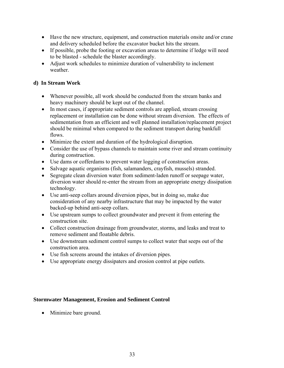- <span id="page-32-0"></span>• Have the new structure, equipment, and construction materials onsite and/or crane and delivery scheduled before the excavator bucket hits the stream.
- If possible, probe the footing or excavation areas to determine if ledge will need to be blasted - schedule the blaster accordingly.
- Adjust work schedules to minimize duration of vulnerability to inclement weather

# **d) In Stream Work**

- Whenever possible, all work should be conducted from the stream banks and heavy machinery should be kept out of the channel.
- In most cases, if appropriate sediment controls are applied, stream crossing replacement or installation can be done without stream diversion. The effects of sedimentation from an efficient and well planned installation/replacement project should be minimal when compared to the sediment transport during bankfull flows.
- Minimize the extent and duration of the hydrological disruption.
- Consider the use of bypass channels to maintain some river and stream continuity during construction.
- Use dams or cofferdams to prevent water logging of construction areas.
- Salvage aquatic organisms (fish, salamanders, crayfish, mussels) stranded.
- Segregate clean diversion water from sediment-laden runoff or seepage water, diversion water should re-enter the stream from an appropriate energy dissipation technology.
- Use anti-seep collars around diversion pipes, but in doing so, make due consideration of any nearby infrastructure that may be impacted by the water backed-up behind anti-seep collars.
- Use upstream sumps to collect groundwater and prevent it from entering the construction site.
- Collect construction drainage from groundwater, storms, and leaks and treat to remove sediment and floatable debris.
- Use downstream sediment control sumps to collect water that seeps out of the construction area.
- Use fish screens around the intakes of diversion pipes.
- Use appropriate energy dissipaters and erosion control at pipe outlets.

# **Stormwater Management, Erosion and Sediment Control**

• Minimize bare ground.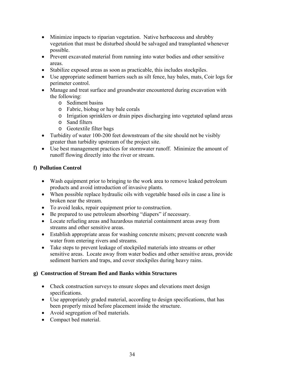- <span id="page-33-0"></span>• Minimize impacts to riparian vegetation. Native herbaceous and shrubby vegetation that must be disturbed should be salvaged and transplanted whenever possible.
- Prevent excavated material from running into water bodies and other sensitive areas.
- Stabilize exposed areas as soon as practicable, this includes stockpiles.
- Use appropriate sediment barriers such as silt fence, hay bales, mats, Coir logs for perimeter control.
- Manage and treat surface and groundwater encountered during excavation with the following:
	- o Sediment basins
	- o Fabric, biobag or hay bale corals
	- o Irrigation sprinklers or drain pipes discharging into vegetated upland areas
	- o Sand filters
	- o Geotextile filter bags
- Turbidity of water 100-200 feet downstream of the site should not be visibly greater than turbidity upstream of the project site.
- Use best management practices for stormwater runoff. Minimize the amount of runoff flowing directly into the river or stream.

# **f) Pollution Control**

- Wash equipment prior to bringing to the work area to remove leaked petroleum products and avoid introduction of invasive plants.
- When possible replace hydraulic oils with vegetable based oils in case a line is broken near the stream.
- To avoid leaks, repair equipment prior to construction.
- Be prepared to use petroleum absorbing "diapers" if necessary.
- Locate refueling areas and hazardous material containment areas away from streams and other sensitive areas.
- Establish appropriate areas for washing concrete mixers; prevent concrete wash water from entering rivers and streams.
- Take steps to prevent leakage of stockpiled materials into streams or other sensitive areas. Locate away from water bodies and other sensitive areas, provide sediment barriers and traps, and cover stockpiles during heavy rains.

# **g) Construction of Stream Bed and Banks within Structures**

- Check construction surveys to ensure slopes and elevations meet design specifications.
- Use appropriately graded material, according to design specifications, that has been properly mixed before placement inside the structure.
- Avoid segregation of bed materials.
- Compact bed material.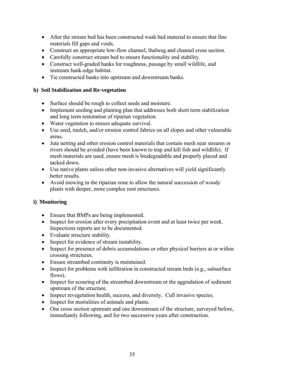- <span id="page-34-0"></span>• After the stream bed has been constructed wash bed material to ensure that fine materials fill gaps and voids.
- Construct an appropriate low-flow channel, thalweg and channel cross section.
- Carefully construct stream bed to ensure functionality and stability.
- Construct well-graded banks for roughness, passage by small wildlife, and instream bank-edge habitat.
- Tie constructed banks into upstream and downstream banks.

# **h) Soil Stabilization and Re-vegetation**

- Surface should be rough to collect seeds and moisture.
- Implement seeding and planting plan that addresses both short term stabilization and long term restoration of riparian vegetation.
- Water vegetation to ensure adequate survival.
- Use seed, mulch, and/or erosion control fabrics on all slopes and other vulnerable areas.
- Jute netting and other erosion control materials that contain mesh near streams or rivers should be avoided (have been known to trap and kill fish and wildlife). If mesh materials are used, ensure mesh is biodegradable and properly placed and tacked down.
- Use native plants unless other non-invasive alternatives will yield significantly better results.
- Avoid mowing in the riparian zone to allow the natural succession of woody plants with deeper, more complex root structures.

# **i) Monitoring**

- Ensure that BMPs are being implemented.
- Inspect for erosion after every precipitation event and at least twice per week. Inspections reports are to be documented.
- Evaluate structure stability.
- Inspect for evidence of stream instability.
- Inspect for presence of debris accumulations or other physical barriers at or within crossing structures.
- Ensure streambed continuity is maintained.
- Inspect for problems with infiltration in constructed stream beds (e.g., subsurface flows).
- Inspect for scouring of the streambed downstream or the aggradation of sediment upstream of the structure.
- Inspect revegetation health, success, and diversity. Cull invasive species.
- Inspect for mortalities of animals and plants.
- One cross section upstream and one downstream of the structure, surveyed before, immediately following, and for two successive years after construction.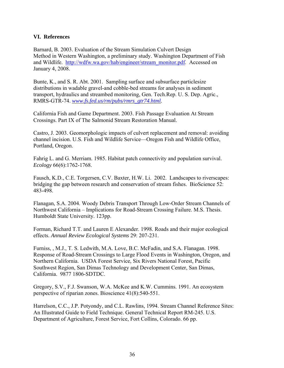# <span id="page-35-0"></span>**VI. References**

Barnard, B. 2003. Evaluation of the Stream Simulation Culvert Design Method in Western Washington, a preliminary study. Washington Department of Fish and Wildlife. [http://wdfw.wa.gov/hab/engineer/stream\\_monitor.pdf.](http://wdfw.wa.gov/hab/engineer/stream_monitor.pdf) Accessed on January 4, 2008.

Bunte, K., and S. R. Abt. 2001. Sampling surface and subsurface particlesize distributions in wadable gravel-and cobble-bed streams for analyses in sediment transport, hydraulics and streambed monitoring, Gen. Tech.Rep. U. S. Dep. Agric., RMRS-GTR-74. *[www.fs.fed.us/rm/pubs/rmrs\\_gtr74.html.](http://www.fs.fed.us/rm/pubs/rmrs_gtr74.html)*

California Fish and Game Department. 2003. Fish Passage Evaluation At Stream Crossings. Part IX of The Salmonid Stream Restoration Manual.

Castro, J. 2003. Geomorphologic impacts of culvert replacement and removal: avoiding channel incision. U.S. Fish and Wildlife Service—Oregon Fish and Wildlife Office, Portland, Oregon.

Fahrig L. and G. Merriam. 1985. Habitat patch connectivity and population survival. *Ecology* 66(6):1762-1768.

Fausch, K.D., C.E. Torgersen, C.V. Baxter, H.W. Li. 2002. Landscapes to riverscapes: bridging the gap between research and conservation of stream fishes. BioScience 52: 483-498.

Flanagan, S.A. 2004. Woody Debris Transport Through Low-Order Stream Channels of Northwest California – Implications for Road-Stream Crossing Failure. M.S. Thesis. Humboldt State University. 123pp.

Forman, Richard T.T. and Lauren E Alexander. 1998. Roads and their major ecological effects. *Annual Review Ecological Systems* 29: 207-231.

Furniss, , M.J., T. S. Ledwith, M.A. Love, B.C. McFadin, and S.A. Flanagan. 1998. Response of Road-Stream Crossings to Large Flood Events in Washington, Oregon, and Northern California. USDA Forest Service, Six Rivers National Forest, Pacific Southwest Region, San Dimas Technology and Development Center, San Dimas, California. 9877 1806-SDTDC.

Gregory, S.V., F.J. Swanson, W.A. McKee and K.W. Cummins. 1991. An ecosystem perspective of riparian zones. Bioscience 41(8):540-551.

Harrelson, C.C., J.P. Potyondy, and C.L. Rawlins, 1994. Stream Channel Reference Sites: An Illustrated Guide to Field Technique. General Technical Report RM-245. U.S. Department of Agriculture, Forest Service, Fort Collins, Colorado. 66 pp.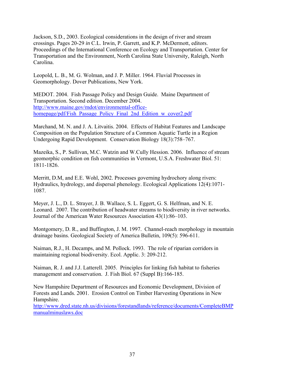Jackson, S.D., 2003. Ecological considerations in the design of river and stream crossings. Pages 20-29 *in* C.L. Irwin, P. Garrett, and K.P. McDermott, editors. Proceedings of the International Conference on Ecology and Transportation. Center for Transportation and the Environment, North Carolina State University, Raleigh, North Carolina.

Leopold, L. B., M. G. Wolman, and J. P. Miller. 1964. Fluvial Processes in Geomorphology. Dover Publications, New York.

MEDOT. 2004. Fish Passage Policy and Design Guide. Maine Department of Transportation. Second edition. December 2004. [http://www.maine.gov/mdot/environmental-office](http://www.maine.gov/mdot/environmental-office-homepage/pdf/Fish_Passage_Policy_Final_2nd_Edition_w_cover2.pdf)homepage/pdf/Fish\_Passage\_Policy\_Final\_2nd\_Edition\_w\_cover2.pdf

Marchand, M. N. and J. A. Litvaitis. 2004. Effects of Habitat Features and Landscape Composition on the Population Structure of a Common Aquatic Turtle in a Region Undergoing Rapid Development. Conservation Biology 18(3):758–767.

Mazeika, S., P. Sullivan, M.C. Watzin and W.Cully Hession. 2006. Influence of stream geomorphic condition on fish communities in Vermont, U.S.A. Freshwater Biol. 51: 1811-1826.

Merritt, D.M, and E.E. Wohl, 2002. Processes governing hydrochory along rivers: Hydraulics, hydrology, and dispersal phenology. Ecological Applications 12(4):1071- 1087.

Meyer, J. L., D. L. Strayer, J. B. Wallace, S. L. Eggert, G. S. Helfman, and N. E. Leonard. 2007. The contribution of headwater streams to biodiversity in river networks. Journal of the American Water Resources Association 43(1):86–103.

Montgomery, D. R., and Buffington, J. M. 1997. Channel-reach morphology in mountain drainage basins. Geological Society of America Bulletin, 109(5): 596-611.

Naiman, R.J., H. Decamps, and M. Pollock. 1993. The role of riparian corridors in maintaining regional biodiversity. Ecol. Applic. 3: 209-212.

Naiman, R. J. and J.J. Latterell. 2005. Principles for linking fish habitat to fisheries management and conservation. J. Fish Biol. 67 (Suppl B):166-185.

New Hampshire Department of Resources and Economic Development, Division of Forests and Lands. 2001. Erosion Control on Timber Harvesting Operations in New Hampshire.

[http://www.dred.state.nh.us/divisions/forestandlands/reference/documents/CompleteBMP](http://www.dred.state.nh.us/divisions/forestandlands/reference/documents/CompleteBMPmanualminuslaws.doc) [manualminuslaws.doc](http://www.dred.state.nh.us/divisions/forestandlands/reference/documents/CompleteBMPmanualminuslaws.doc)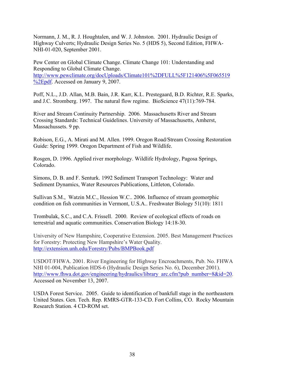Normann, J. M., R. J. Houghtalen, and W. J. Johnston. 2001. Hydraulic Design of Highway Culverts; Hydraulic Design Series No. 5 (HDS 5), Second Edition, FHWA-NHI-01-020, September 2001.

Pew Center on Global Climate Change. Climate Change 101: Understanding and Responding to Global Climate Change. [http://www.pewclimate.org/docUploads/Climate101%2DFULL%5F121406%5F065519](http://www.pewclimate.org/docUploads/Climate101-FULL_121406_065519.pdf) [%2Epdf](http://www.pewclimate.org/docUploads/Climate101-FULL_121406_065519.pdf). Accessed on January 9, 2007.

Poff, N.L., J.D. Allan, M.B. Bain, J.R. Karr, K.L. Prestegaard, B.D. Richter, R.E. Sparks, and J.C. Stromberg. 1997. The natural flow regime. BioScience 47(11):769-784.

River and Stream Continuity Partnership. 2006. Massachusetts River and Stream Crossing Standards: Technical Guidelines. University of Massachusetts, Amherst, Massachussets. 9 pp.

Robison, E.G., A. Mirati and M. Allen. 1999. Oregon Road/Stream Crossing Restoration Guide: Spring 1999. Oregon Department of Fish and Wildlife.

Rosgen, D. 1996. Applied river morphology. Wildlife Hydrology, Pagosa Springs, Colorado.

Simons, D. B. and F. Senturk. 1992 Sediment Transport Technology: Water and Sediment Dynamics, Water Resources Publications, Littleton, Colorado.

Sullivan S.M., Watzin M.C., Hession W.C.. 2006. Influence of stream geomorphic condition on fish communities in Vermont, U.S.A.. Freshwater Biology 51(10): 1811

Trombulak, S.C., and C.A. Frissell. 2000. Review of ecological effects of roads on terrestrial and aquatic communities. Conservation Biology 14:18-30.

University of New Hampshire, Cooperative Extension. 2005. Best Management Practices for Forestry: Protecting New Hampshire's Water Quality. <http://extension.unh.edu/Forestry/Pubs/BMPBook.pdf>

USDOT/FHWA. 2001. River Engineering for Highway Encroachments, Pub. No. FHWA NHI 01-004, Publication HDS-6 (Hydraulic Design Series No. 6), December 2001). [http://www.fhwa.dot.gov/engineering/hydraulics/library\\_arc.cfm?pub\\_number=8&id=20](http://www.fhwa.dot.gov/engineering/hydraulics/library_arc.cfm?pub_number=8&id=20). Accessed on November 13, 2007.

USDA Forest Service. 2005. Guide to identification of bankfull stage in the northeastern United States. Gen. Tech. Rep. RMRS-GTR-133-CD. Fort Collins, CO. Rocky Mountain Research Station. 4 CD-ROM set.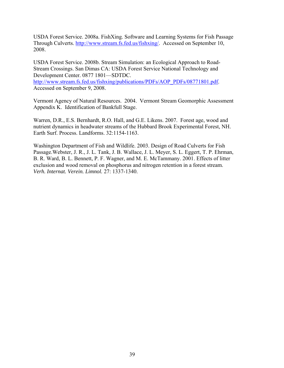USDA Forest Service. 2008a. FishXing. Software and Learning Systems for Fish Passage Through Culverts.<http://www.stream.fs.fed.us/fishxing/>. Accessed on September 10, 2008.

USDA Forest Service. 2008b. Stream Simulation: an Ecological Approach to Road-Stream Crossings. San Dimas CA: USDA Forest Service National Technology and Development Center. 0877 1801—SDTDC. [http://www.stream.fs.fed.us/fishxing/publications/PDFs/AOP\\_PDFs/08771801.pdf](http://www.stream.fs.fed.us/fishxing/publications/PDFs/AOP_PDFs/08771801.pdf). Accessed on September 9, 2008.

Vermont Agency of Natural Resources. 2004. Vermont Stream Geomorphic Assessment Appendix K. Identification of Bankfull Stage.

Warren, D.R., E.S. Bernhardt, R.O. Hall, and G.E. Likens. 2007. Forest age, wood and nutrient dynamics in headwater streams of the Hubbard Brook Experimental Forest, NH. Earth Surf. Process. Landforms. 32:1154-1163.

Washington Department of Fish and Wildlife. 2003. Design of Road Culverts for Fish Passage.Webster, J. R., J. L. Tank, J. B. Wallace, J. L. Meyer, S. L. Eggert, T. P. Ehrman, B. R. Ward, B. L. Bennett, P. F. Wagner, and M. E. McTammany. 2001. Effects of litter exclusion and wood removal on phosphorus and nitrogen retention in a forest stream. *Verh. Internat. Verein. Limnol.* 27: 1337-1340.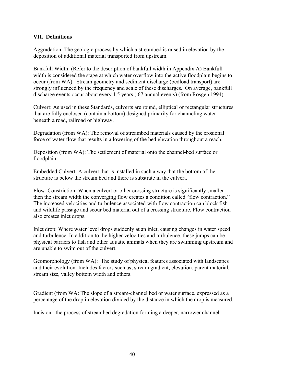# <span id="page-39-0"></span>**VII. Definitions**

Aggradation: The geologic process by which a streambed is raised in elevation by the deposition of additional material transported from upstream.

Bankfull Width: (Refer to the description of bankfull width in Appendix A) Bankfull width is considered the stage at which water overflow into the active floodplain begins to occur (from WA). Stream geometry and sediment discharge (bedload transport) are strongly influenced by the frequency and scale of these discharges. On average, bankfull discharge events occur about every 1.5 years (.67 annual events) (from Rosgen 1994).

Culvert: As used in these Standards, culverts are round, elliptical or rectangular structures that are fully enclosed (contain a bottom) designed primarily for channeling water beneath a road, railroad or highway.

Degradation (from WA): The removal of streambed materials caused by the erosional force of water flow that results in a lowering of the bed elevation throughout a reach.

Deposition (from WA): The settlement of material onto the channel-bed surface or floodplain.

Embedded Culvert: A culvert that is installed in such a way that the bottom of the structure is below the stream bed and there is substrate in the culvert.

Flow Constriction: When a culvert or other crossing structure is significantly smaller then the stream width the converging flow creates a condition called "flow contraction." The increased velocities and turbulence associated with flow contraction can block fish and wildlife passage and scour bed material out of a crossing structure. Flow contraction also creates inlet drops.

Inlet drop: Where water level drops suddenly at an inlet, causing changes in water speed and turbulence. In addition to the higher velocities and turbulence, these jumps can be physical barriers to fish and other aquatic animals when they are swimming upstream and are unable to swim out of the culvert.

Geomorphology (from WA): The study of physical features associated with landscapes and their evolution. Includes factors such as; stream gradient, elevation, parent material, stream size, valley bottom width and others.

Gradient (from WA: The slope of a stream-channel bed or water surface, expressed as a percentage of the drop in elevation divided by the distance in which the drop is measured.

Incision: the process of streambed degradation forming a deeper, narrower channel.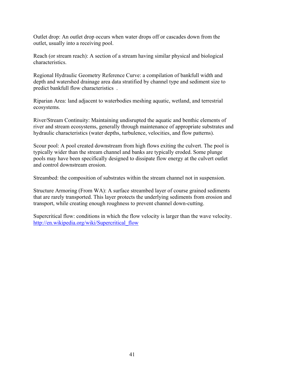Outlet drop: An outlet drop occurs when water drops off or cascades down from the outlet, usually into a receiving pool.

Reach (or stream reach): A section of a stream having similar physical and biological characteristics.

Regional Hydraulic Geometry Reference Curve: a compilation of bankfull width and depth and watershed drainage area data stratified by channel type and sediment size to predict bankfull flow characteristics .

Riparian Area: land adjacent to waterbodies meshing aquatic, wetland, and terrestrial ecosystems.

River/Stream Continuity: Maintaining undisrupted the aquatic and benthic elements of river and stream ecosystems, generally through maintenance of appropriate substrates and hydraulic characteristics (water depths, turbulence, velocities, and flow patterns).

Scour pool: A pool created downstream from high flows exiting the culvert. The pool is typically wider than the stream channel and banks are typically eroded. Some plunge pools may have been specifically designed to dissipate flow energy at the culvert outlet and control downstream erosion.

Streambed: the composition of substrates within the stream channel not in suspension.

Structure Armoring (From WA): A surface streambed layer of course grained sediments that are rarely transported. This layer protects the underlying sediments from erosion and transport, while creating enough roughness to prevent channel down-cutting.

Supercritical flow: conditions in which the flow velocity is larger than the wave velocity. [http://en.wikipedia.org/wiki/Supercritical\\_flow](http://en.wikipedia.org/wiki/Supercritical_flow)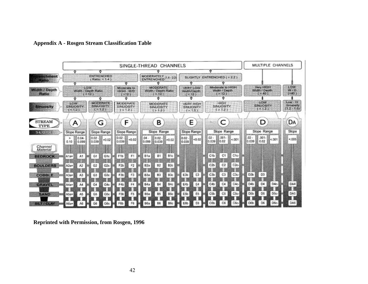

# **Appendix A - Rosgen Stream Classification Table**

<span id="page-41-0"></span>**Reprinted with Permission, from Rosgen, 1996**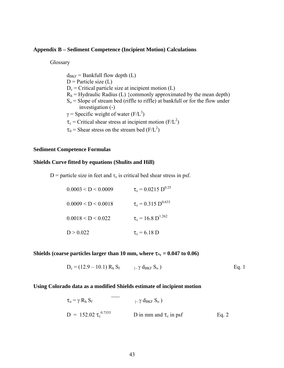## <span id="page-42-0"></span>**Appendix B – Sediment Competence (Incipient Motion) Calculations**

Glossary

 $d_{BKF}$  = Bankfull flow depth (L)  $D$  = Particle size (L)  $D_c$  = Critical particle size at incipient motion (L)  $R_h$  = Hydraulic Radius (L) {commonly approximated by the mean depth)  $S_0$  = Slope of stream bed (riffle to riffle) at bankfull or for the flow under investigation (-)  $\gamma$  = Specific weight of water (F/L<sup>3</sup>)  $\tau_c$  = Critical shear stress at incipient motion (F/L<sup>2</sup>)  $\tau_0$  = Shear stress on the stream bed (F/L<sup>2</sup>)

#### **Sediment Competence Formulas**

#### **Shields Curve fitted by equations (Shulits and Hill)**

D = particle size in feet and  $\tau_c$  is critical bed shear stress in psf.

| 0.0003 < D < 0.0009 | $\tau_c$ = 0.0215 D <sup>0.25</sup> |
|---------------------|-------------------------------------|
| 0.0009 < D < 0.0018 | $\tau_c = 0.315 \text{ D}^{0.633}$  |
| 0.0018 < D < 0.022  | $\tau_c = 16.8 \text{ D}^{1.262}$   |
| D > 0.022           | $\tau_c$ = 6.18 D                   |

# **Shields (coarse particles larger than 10 mm, where**  $\tau_*$  **= 0.047 to 0.06)**

$$
D_c = (12.9 - 10.1) R_h S_f \qquad \Leftrightarrow \gamma d_{BKF} S_o
$$
 Eq. 1

## **Using Colorado data as a modified Shields estimate of incipient motion**

$$
\tau_{o} = \gamma R_{h} S_{f}
$$
\n
$$
D = 152.02 \tau_{c}^{0.7355}
$$
\n
$$
D \text{ in mm and } \tau_{c} \text{ in psf}
$$
\nEq. 2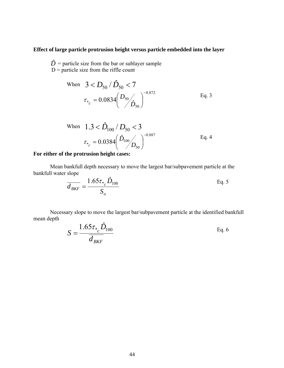# **Effect of large particle protrusion height versus particle embedded into the layer**

 $\hat{D}$  = particle size from the bar or sublayer sample  $D =$  particle size from the riffle count

When 
$$
3 < D_{50} / \hat{D}_{50} < 7
$$
  
\n $\tau_{*_{c}} = 0.0834 \left( \frac{D_{50}}{\hat{D}_{50}} \right)^{-0.872}$  Eq. 3

When 
$$
1.3 < \hat{D}_{100} / D_{50} < 3
$$
  
\n $\tau_{*_{c}} = 0.0384 \left( \frac{\hat{D}_{100}}{D_{50}} \right)^{-0.887}$  Eq. 4

# **For either of the protrusion height cases:**

 Mean bankfull depth necessary to move the largest bar/subpavement particle at the bankfull water slope *D*

$$
\frac{1}{d_{BKF}} = \frac{1.65 \tau_{*_{c}} \hat{D}_{100}}{S_{o}}
$$
 Eq. 5

 Necessary slope to move the largest bar/subpavement particle at the identified bankfull mean depth *D*

$$
S = \frac{1.65\tau_* \hat{D}_{100}}{d_{BKF}}
$$
 Eq. 6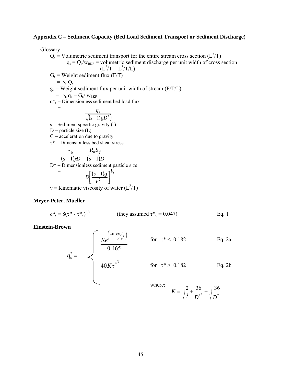## <span id="page-44-0"></span>**Appendix C – Sediment Capacity (Bed Load Sediment Transport or Sediment Discharge)**

Glossary

 $Q_s$  = Volumetric sediment transport for the entire stream cross section ( $L^3/T$ )  $q_s = Q_s/w_{BKF}$  = volumetric sediment discharge per unit width of cross section  $(L^2/T = L^3/T/L)$  $G_s$  = Weight sediment flux (F/T)  $= \gamma_s Q_s$  $g_s$  = Weight sediment flux per unit width of stream (F/T/L)  $= \gamma_s q_s = G_s / w_{BKF}$  $q^*$ <sub>s</sub> = Dimensionless sediment bed load flux  $\frac{1}{2}$  =  $(s - 1) gD^{3}$ *qs* −  $s =$  Sediment specific gravity  $(-)$  $D$  = particle size (L)  $G =$  acceleration due to gravity  $\tau^*$  = Dimensionless bed shear stress  $=$  $(s-1)\gamma D$   $(s-1)D$  $R<sub>h</sub>$ *S*  $s-1$ ) $pD$  $h^{\mathbf{D}}f$ 1) $pD$   $(s-1)$  $\frac{\tau_0}{(-1)\gamma D} = \frac{R_h}{(s - 1)}$  $D^*$  = Dimensionless sediment particle size  $=\int_{\sum}^{\infty} (s-1)g^{-1/3}$ 2 1  $\left\lfloor \frac{(s-1)g}{\nu^2} \right\rfloor$  $\lceil (s D\left[\frac{(s-1)g}{v^2}\right]$ v = Kinematic viscosity of water  $(L^2/T)$ 

## **Meyer-Peter, Müeller**

$$
q^* = 8(\tau^* - \tau^*)_0^{3/2}
$$
 (they assumed  $\tau^* = 0.047$ ) Eq. 1

#### **Einstein-Brown**

$$
q_s^* = \begin{cases} \frac{Ke^{(-0.391/\pi^*)}}{0.465} & \text{for } \tau^* < 0.182 \text{ Eq. 2a} \\ 40K\tau^{*3} & \text{for } \tau^* \ge 0.182 \text{ Eq. 2b} \\ \text{where:} \end{cases}
$$

$$
K = \sqrt{\frac{2}{3} + \frac{36}{D^{*^3}}} - \sqrt{\frac{36}{D^{*^3}}}
$$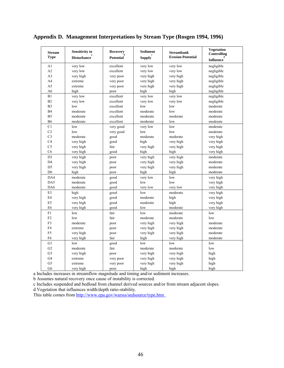| <b>Stream</b><br><b>Type</b> | <b>Sensitivity to</b><br><b>Disturbance</b> | <b>Recovery</b><br><b>Potential</b> | <b>Sediment</b><br><b>Supply</b> | <b>Streambank</b><br><b>Erosion Potential</b> | <b>Vegetation</b><br>Controlling |
|------------------------------|---------------------------------------------|-------------------------------------|----------------------------------|-----------------------------------------------|----------------------------------|
|                              |                                             |                                     |                                  |                                               | <b>Influence</b>                 |
| A1                           | very low                                    | excellent                           | very low                         | very low                                      | negligible                       |
| A2                           | very low                                    | excellent                           | very low                         | very low                                      | negligible                       |
| A <sub>3</sub>               | very high                                   | very poor                           | very high                        | very high                                     | negligible                       |
| A <sub>4</sub>               | extreme                                     | very poor                           | very high                        | very high                                     | negligible                       |
| A5                           | extreme                                     | very poor                           | very high                        | very high                                     | negligible                       |
| A6                           | high                                        | poor                                | high                             | high                                          | negligible                       |
| B1                           | very low                                    | excellent                           | very low                         | very low                                      | negligible                       |
| B <sub>2</sub>               | very low                                    | excellent                           | very low                         | very low                                      | negligible                       |
| B <sub>3</sub>               | low                                         | excellent                           | low                              | low                                           | moderate                         |
| <b>B4</b>                    | moderate                                    | excellent                           | moderate                         | low                                           | moderate                         |
| B <sub>5</sub>               | moderate                                    | excellent                           | moderate                         | moderate                                      | moderate                         |
| <b>B6</b>                    | moderate                                    | excellent                           | moderate                         | low                                           | moderate                         |
| C1                           | low                                         | very good                           | very low                         | low                                           | moderate                         |
| C <sub>2</sub>               | low                                         | very good                           | low                              | low                                           | moderate                         |
| C <sub>3</sub>               | moderate                                    | good                                | moderate                         | moderate                                      | very high                        |
| C <sub>4</sub>               | very high                                   | good                                | high                             | very high                                     | very high                        |
| C <sub>5</sub>               | very high                                   | fair                                | very high                        | very high                                     | very high                        |
| C6                           | very high                                   | good                                | high                             | high                                          | very high                        |
| D <sub>3</sub>               | very high                                   | poor                                | very high                        | very high                                     | moderate                         |
| D <sub>4</sub>               | very high                                   | poor                                | very high                        | very high                                     | moderate                         |
| D <sub>5</sub>               | very high                                   | poor                                | very high                        | very high                                     | moderate                         |
| D <sub>6</sub>               | high                                        | poor                                | high                             | high                                          | moderate                         |
| DA4                          | moderate                                    | good                                | very low                         | low                                           | very high                        |
| DA5                          | moderate                                    | good                                | low                              | low                                           | very high                        |
| DA6                          | moderate                                    | good                                | very low                         | very low                                      | very high                        |
| E3                           | high                                        | good                                | low                              | moderate                                      | very high                        |
| E <sub>4</sub>               | very high                                   | good                                | moderate                         | high                                          | very high                        |
| E <sub>5</sub>               | very high                                   | good                                | moderate                         | high                                          | very high                        |
| E <sub>6</sub>               | very high                                   | good                                | low                              | moderate                                      | very high                        |
| F1                           | low                                         | fair                                | low                              | moderate                                      | low                              |
| F <sub>2</sub>               | low                                         | fair                                | moderate                         | moderate                                      | low                              |
| F3                           | moderate                                    | poor                                | very high                        | very high                                     | moderate                         |
| F <sub>4</sub>               | extreme                                     | poor                                | very high                        | very high                                     | moderate                         |
| F <sub>5</sub>               | very high                                   | poor                                | very high                        | very high                                     | moderate                         |
| F <sub>6</sub>               | very high                                   | fair                                | high                             | very high                                     | moderate                         |
| G1                           | low                                         | good                                | low                              | low                                           | low                              |
| G <sub>2</sub>               | moderate                                    | fair                                | moderate                         | moderate                                      | low                              |
| G <sub>3</sub>               | very high                                   | poor                                | very high                        | very high                                     | high                             |
| G <sub>4</sub>               | extreme                                     | very poor                           | very high                        | very high                                     | high                             |
| G <sub>5</sub>               | extreme                                     | very poor                           | very high                        | very high                                     | high                             |
| G <sub>6</sub>               | very high                                   | poor                                | high                             | high                                          | high                             |

<span id="page-45-0"></span>**Appendix D. Management Interpretations by Stream Type (Rosgen 1994, 1996)** 

a Includes increases in streamflow magnitude and timing and/or sediment increases.

b Assumes natural recovery once cause of instability is corrected.

c Includes suspended and bedload from channel derived sources and/or from stream adjacent slopes.

d Vegetation that influences width/depth ratio-stability.

This table comes from<http://www.epa.gov/warsss/sedsource/type.htm>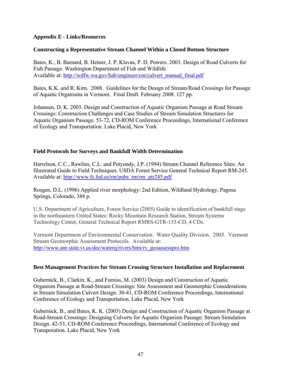# <span id="page-46-0"></span>**Appendix E - Links/Resources**

# **Constructing a Representative Stream Channel Within a Closed Bottom Structure**

Bates, K., B. Barnard, B. Heiner, J. P. Klavas, P. D. Powers. 2003. Design of Road Culverts for Fish Passage. Washington Department of Fish and Wildlife. Available at: [http://wdfw.wa.gov/hab/engineer/cm/culvert\\_manual\\_final.pdf](http://wdfw.wa.gov/hab/engineer/cm/culvert_manual_final.pdf)

Bates, K.K. and R. Kirn. 2008. Guidelines for the Design of Stream/Road Crossings for Passage of Aquatic Organisms in Vermont. Final Draft. February 2008. 127 pp.

Johansen, D. K. 2003. Design and Construction of Aquatic Organism Passage at Road Stream Crossings: Construction Challenges and Case Studies of Stream Simulation Structures for Aquatic Organism Passage. 53-72, CD-ROM Conference Proceedings, International Conference of Ecology and Transportation. Lake Placid, New York

# **Field Protocols for Surveys and Bankfull Width Determination**

Harrelson, C.C., Rawlins, C.L. and Potyondy, J.P. (1994) Stream Channel Reference Sites: An Illustrated Guide to Field Techniques. USDA Forest Service General Technical Report RM-245. Available at: [http://www.fs.fed.us/rm/pubs\\_rm/rm\\_gtr245.pdf](http://www.fs.fed.us/rm/pubs_rm/rm_gtr245.pdf)

Rosgen, D.L. (1996) Applied river morphology: 2nd Edition, Wildland Hydrology, Pagosa Springs, Colorado, 388 p.

U.S. Department of Agriculture, Forest Service (2005) Guide to identification of bankfull stage in the northeastern United States: Rocky Mountain Research Station, Stream Systems Technology Center, General Technical Report RMRS-GTR-133-CD, 4 CDs.

Vermont Department of Environmental Conservation. Water Quality Division. 2005. Vermont Stream Geomorphic Assessment Protocols. Available at: [http://www.anr.state.vt.us/dec/waterq/rivers/htm/rv\\_geoassesspro.htm](http://www.anr.state.vt.us/dec/waterq/rivers/htm/rv_geoassesspro.htm)

# **Best Management Practices for Stream Crossing Structure Installation and Replacement**

Gubernick, B., Clarkin, K., and Furniss, M. (2003) Design and Construction of Aquatic Organism Passage at Road-Stream Crossings: Site Assessment and Geomorphic Considerations in Stream Simulation Culvert Design. 30-41, CD-ROM Conference Proceedings, International Conference of Ecology and Transportation. Lake Placid, New York

Gubernick, B., and Bates, K. K. (2003) Design and Construction of Aquatic Organism Passage at Road-Stream Crossings: Designing Culverts for Aquatic Organism Passage: Stream Simulation Design. 42-53, CD-ROM Conference Proceedings, International Conference of Ecology and Transporation. Lake Placid, New York